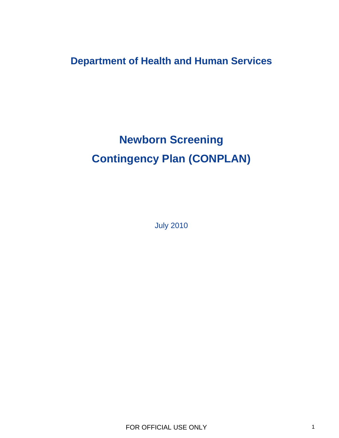**Department of Health and Human Services** 

# **Newborn Screening Contingency Plan (CONPLAN)**

July 2010

FOR OFFICIAL USE ONLY 1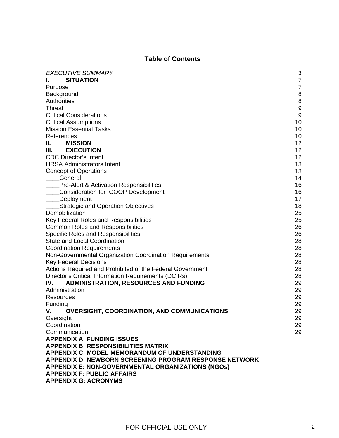# **Table of Contents**

| <b>EXECUTIVE SUMMARY</b>                                  |                                       |
|-----------------------------------------------------------|---------------------------------------|
| <b>SITUATION</b>                                          | 3<br>$\overline{7}$                   |
|                                                           |                                       |
| Purpose                                                   | $\overline{7}$                        |
| Background                                                | $\bf 8$                               |
| <b>Authorities</b>                                        | $\begin{array}{c} 8 \\ 9 \end{array}$ |
| Threat                                                    |                                       |
| <b>Critical Considerations</b>                            | 9                                     |
| <b>Critical Assumptions</b>                               | 10                                    |
| <b>Mission Essential Tasks</b>                            | 10                                    |
| References                                                | 10                                    |
| <b>MISSION</b><br>II. I                                   | 12                                    |
| <b>EXECUTION</b><br>III. I                                | 12                                    |
| <b>CDC Director's Intent</b>                              | 12                                    |
| <b>HRSA Administrators Intent</b>                         | 13                                    |
| <b>Concept of Operations</b>                              | 13                                    |
| General                                                   | 14                                    |
| <b>Pre-Alert &amp; Activation Responsibilities</b>        | 16                                    |
| Consideration for COOP Development                        | 16                                    |
| _Deployment                                               | 17                                    |
| <b>Strategic and Operation Objectives</b>                 | 18                                    |
| Demobilization                                            | 25                                    |
| Key Federal Roles and Responsibilities                    | 25                                    |
| <b>Common Roles and Responsibilities</b>                  | 26                                    |
| <b>Specific Roles and Responsibilities</b>                | 26                                    |
| <b>State and Local Coordination</b>                       | 28                                    |
| <b>Coordination Requirements</b>                          | 28                                    |
| Non-Governmental Organization Coordination Requirements   | 28                                    |
| <b>Key Federal Decisions</b>                              | 28                                    |
| Actions Required and Prohibited of the Federal Government | 28                                    |
| Director's Critical Information Requirements (DCIRs)      | 28                                    |
| <b>ADMINISTRATION, RESOURCES AND FUNDING</b><br>IV.       | 29                                    |
| Administration                                            | 29                                    |
| Resources                                                 | 29                                    |
| Funding                                                   | 29                                    |
| <b>OVERSIGHT, COORDINATION, AND COMMUNICATIONS</b><br>۷.  | 29                                    |
| Oversight                                                 | 29                                    |
| Coordination                                              | 29                                    |
| Communication                                             | 29                                    |
| <b>APPENDIX A: FUNDING ISSUES</b>                         |                                       |
| <b>APPENDIX B: RESPONSIBILITIES MATRIX</b>                |                                       |
| <b>APPENDIX C: MODEL MEMORANDUM OF UNDERSTANDING</b>      |                                       |
| APPENDIX D: NEWBORN SCREENING PROGRAM RESPONSE NETWORK    |                                       |
| <b>APPENDIX E: NON-GOVERNMENTAL ORGANIZATIONS (NGOS)</b>  |                                       |
| <b>APPENDIX F: PUBLIC AFFAIRS</b>                         |                                       |
| <b>APPENDIX G: ACRONYMS</b>                               |                                       |
|                                                           |                                       |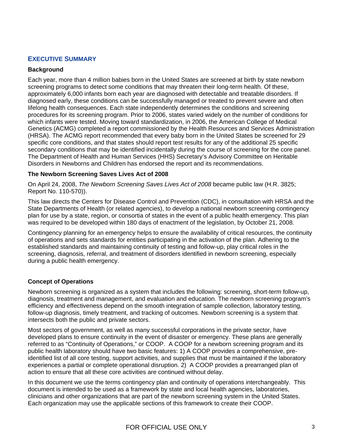## **EXECUTIVE SUMMARY**

#### **Background**

Each year, more than 4 million babies born in the United States are screened at birth by state newborn screening programs to detect some conditions that may threaten their long-term health. Of these, approximately 6,000 infants born each year are diagnosed with detectable and treatable disorders. If diagnosed early, these conditions can be successfully managed or treated to prevent severe and often lifelong health consequences. Each state independently determines the conditions and screening procedures for its screening program. Prior to 2006, states varied widely on the number of conditions for which infants were tested. Moving toward standardization, in 2006, the American College of Medical Genetics (ACMG) completed a report commissioned by the Health Resources and Services Administration (HRSA). The ACMG report recommended that every baby born in the United States be screened for 29 specific core conditions, and that states should report test results for any of the additional 25 specific secondary conditions that may be identified incidentally during the course of screening for the core panel. The Department of Health and Human Services (HHS) Secretary's Advisory Committee on Heritable Disorders in Newborns and Children has endorsed the report and its recommendations.

## **The Newborn Screening Saves Lives Act of 2008**

On April 24, 2008, *The Newborn Screening Saves Lives Act of 2008* became public law (H.R. 3825; Report No. 110-570)).

This law directs the Centers for Disease Control and Prevention (CDC), in consultation with HRSA and the State Departments of Health (or related agencies), to develop a national newborn screening contingency plan for use by a state, region, or consortia of states in the event of a public health emergency. This plan was required to be developed within 180 days of enactment of the legislation, by October 21, 2008.

Contingency planning for an emergency helps to ensure the availability of critical resources, the continuity of operations and sets standards for entities participating in the activation of the plan. Adhering to the established standards and maintaining continuity of testing and follow-up, play critical roles in the screening, diagnosis, referral, and treatment of disorders identified in newborn screening, especially during a public health emergency.

## **Concept of Operations**

Newborn screening is organized as a system that includes the following: screening, short-term follow-up, diagnosis, treatment and management, and evaluation and education. The newborn screening program's efficiency and effectiveness depend on the smooth integration of sample collection, laboratory testing, follow-up diagnosis, timely treatment, and tracking of outcomes. Newborn screening is a system that intersects both the public and private sectors.

Most sectors of government, as well as many successful corporations in the private sector, have developed plans to ensure continuity in the event of disaster or emergency. These plans are generally referred to as "Continuity of Operations," or COOP. A COOP for a newborn screening program and its public health laboratory should have two basic features: 1) A COOP provides a comprehensive, preidentified list of all core testing, support activities, and supplies that must be maintained if the laboratory experiences a partial or complete operational disruption. 2) A COOP provides a prearranged plan of action to ensure that all these core activities are continued without delay.

In this document we use the terms contingency plan and continuity of operations interchangeably. This document is intended to be used as a framework by state and local health agencies, laboratories, clinicians and other organizations that are part of the newborn screening system in the United States. Each organization may use the applicable sections of this framework to create their COOP.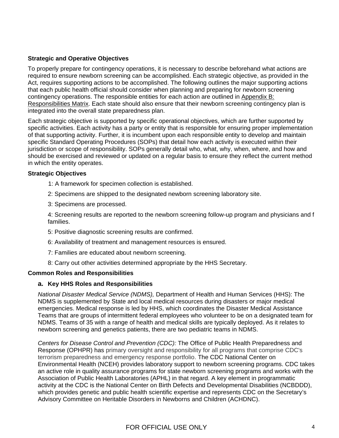## **Strategic and Operative Objectives**

To properly prepare for contingency operations, it is necessary to describe beforehand what actions are required to ensure newborn screening can be accomplished. Each strategic objective, as provided in the Act, requires supporting actions to be accomplished. The following outlines the major supporting actions that each public health official should consider when planning and preparing for newborn screening contingency operations. The responsible entities for each action are outlined in Appendix B: [Responsibilities Matrix.](#page-30-0) Each state should also ensure that their newborn screening contingency plan is integrated into the overall state preparedness plan.

Each strategic objective is supported by specific operational objectives, which are further supported by specific activities. Each activity has a party or entity that is responsible for ensuring proper implementation of that supporting activity. Further, it is incumbent upon each responsible entity to develop and maintain specific Standard Operating Procedures (SOPs) that detail how each activity is executed within their jurisdiction or scope of responsibility. SOPs generally detail who, what, why, when, where, and how and should be exercised and reviewed or updated on a regular basis to ensure they reflect the current method in which the entity operates.

#### **Strategic Objectives**

- 1: A framework for specimen collection is established.
- 2: Specimens are shipped to the designated newborn screening laboratory site.
- 3: Specimens are processed.

 4: Screening results are reported to the newborn screening follow-up program and physicians and f families.

- 5: Positive diagnostic screening results are confirmed.
- 6: Availability of treatment and management resources is ensured.
- 7: Families are educated about newborn screening.
- 8: Carry out other activities determined appropriate by the HHS Secretary.

#### **Common Roles and Responsibilities**

#### **a. Key HHS Roles and Responsibilities**

*National Disaster Medical Service (NDMS),* Department of Health and Human Services (HHS): The NDMS is supplemented by State and local medical resources during disasters or major medical emergencies. Medical response is led by HHS, which coordinates the Disaster Medical Assistance Teams that are groups of intermittent federal employees who volunteer to be on a designated team for NDMS. Teams of 35 with a range of health and medical skills are typically deployed. As it relates to newborn screening and genetics patients, there are two pediatric teams in NDMS.

*Centers for Disease Control and Prevention (CDC):* The Office of Public Health Preparedness and Response (OPHPR) has primary oversight and responsibility for all programs that comprise CDC's terrorism preparedness and emergency response portfolio. The CDC National Center on Environmental Health (NCEH) provides laboratory support to newborn screening programs. CDC takes an active role in quality assurance programs for state newborn screening programs and works with the Association of Public Health Laboratories (APHL) in that regard. A key element in programmatic activity at the CDC is the National Center on Birth Defects and Developmental Disabilities (NCBDDD), which provides genetic and public health scientific expertise and represents CDC on the Secretary's Advisory Committee on Heritable Disorders in Newborns and Children (ACHDNC).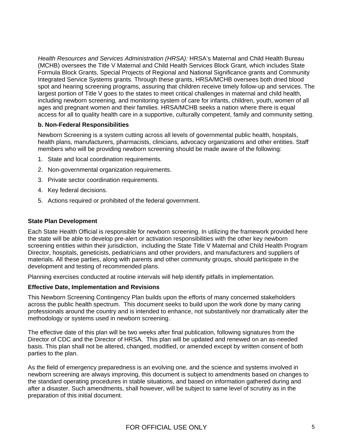ages and pregnant women and their families. HRSA/MCHB seeks a nation where there is equal access for all to quality health care in a supportive, culturally competent, family and community setting. *Health Resources and Services Administration (HRSA):* HRSA's Maternal and Child Health Bureau (MCHB) oversees the Title V Maternal and Child Health Services Block Grant, which includes State Formula Block Grants, Special Projects of Regional and National Significance grants and Community Integrated Service Systems grants. Through these grants, HRSA/MCHB oversees both dried blood spot and hearing screening programs, assuring that children receive timely follow-up and services. The largest portion of Title V goes to the states to meet critical challenges in maternal and child health, including newborn screening, and monitoring system of care for infants, children, youth, women of all

## **b. Non-Federal Responsibilities**

Newborn Screening is a system cutting across all levels of governmental public health, hospitals, health plans, manufacturers, pharmacists, clinicians, advocacy organizations and other entities. Staff members who will be providing newborn screening should be made aware of the following:

- 1. State and local coordination requirements.
- 2. Non-governmental organization requirements.
- 3. Private sector coordination requirements.
- 4. Key federal decisions.
- 5. Actions required or prohibited of the federal government.

#### **State Plan Development**

screening entities within their jurisdiction, including the State Title V Maternal and Child Health Program Director, hospitals, geneticists, pediatricians and other providers, and manufacturers and suppliers of materials. All these parties, along with parents and other community groups, should participate in the Each State Health Official is responsible for newborn screening. In utilizing the framework provided here the state will be able to develop pre-alert or activation responsibilities with the other key newborn development and testing of recommended plans.

Planning exercises conducted at routine intervals will help identify pitfalls in implementation.

## **Effective Date, Implementation and Revisions**

across the public health spectrum. This document seeks to build upon the work done by many caring rofessionals around the country and is intended to enhance, not substantively nor dramatically alter the p This Newborn Screening Contingency Plan builds upon the efforts of many concerned stakeholders methodology or systems used in newborn screening.

Director of CDC and the Director of HRSA. This plan will be updated and renewed on an as-needed basis. This plan shall not be altered, changed, modified, or amended except by written consent of both The effective date of this plan will be two weeks after final publication, following signatures from the parties to the plan.

newborn screening are always improving, this document is subject to amendments based on changes to the standard operating procedures in stable situations, and based on information gathered during and after a disaster. Such amendments, shall however, will be subject to same level of scrutiny as in the preparation of this initial document. As the field of emergency preparedness is an evolving one, and the science and systems involved in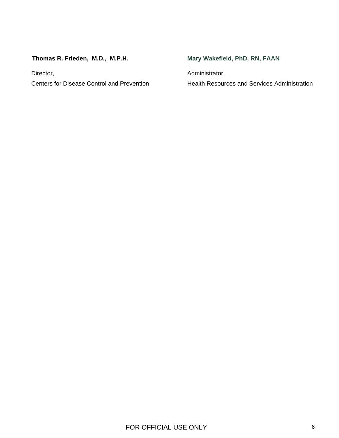# **Thomas R. Frieden, M.D., M.P.H.**

Centers for Disease Control and Prevention Health Resources and Services Administration Director, **Administrator**,

# **Mary Wakefield, PhD, RN, FAAN**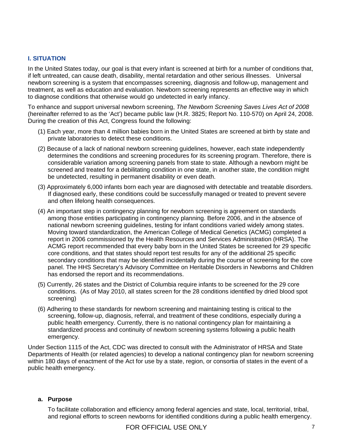## **I. SITUATION**

In the United States today, our goal is that every infant is screened at birth for a number of conditions that, if left untreated, can cause death, disability, mental retardation and other serious illnesses. Universal newborn screening is a system that encompasses screening, diagnosis and follow-up, management and treatment, as well as education and evaluation. Newborn screening represents an effective way in which to diagnose conditions that otherwise would go undetected in early infancy.

To enhance and support universal newborn screening, *The Newborn Screening Saves Lives Act of 2008* (hereinafter referred to as the 'Act') became public law (H.R. 3825; Report No. 110-570) on April 24, 2008. During the creation of this Act, Congress found the following:

- (1) Each year, more than 4 million babies born in the United States are screened at birth by state and private laboratories to detect these conditions.
- (2) Because of a lack of national newborn screening guidelines, however, each state independently determines the conditions and screening procedures for its screening program. Therefore, there is considerable variation among screening panels from state to state. Although a newborn might be screened and treated for a debilitating condition in one state, in another state, the condition might be undetected, resulting in permanent disability or even death.
- (3) Approximately 6,000 infants born each year are diagnosed with detectable and treatable disorders. If diagnosed early, these conditions could be successfully managed or treated to prevent severe and often lifelong health consequences.
- (4) An important step in contingency planning for newborn screening is agreement on standards among those entities participating in contingency planning. Before 2006, and in the absence of national newborn screening guidelines, testing for infant conditions varied widely among states. Moving toward standardization, the American College of Medical Genetics (ACMG) completed a report in 2006 commissioned by the Health Resources and Services Administration (HRSA). The ACMG report recommended that every baby born in the United States be screened for 29 specific core conditions, and that states should report test results for any of the additional 25 specific secondary conditions that may be identified incidentally during the course of screening for the core panel. The HHS Secretary's Advisory Committee on Heritable Disorders in Newborns and Children has endorsed the report and its recommendations.
- (5) Currently, 26 states and the District of Columbia require infants to be screened for the 29 core conditions. (As of May 2010, all states screen for the 28 conditions identified by dried blood spot screening)
- (6) Adhering to these standards for newborn screening and maintaining testing is critical to the screening, follow-up, diagnosis, referral, and treatment of these conditions, especially during a public health emergency. Currently, there is no national contingency plan for maintaining a standardized process and continuity of newborn screening systems following a public health emergency.

Under Section 1115 of the Act, CDC was directed to consult with the Administrator of HRSA and State Departments of Health (or related agencies) to develop a national contingency plan for newborn screening within 180 days of enactment of the Act for use by a state, region, or consortia of states in the event of a public health emergency.

#### **a. Purpose**

To facilitate collaboration and efficiency among federal agencies and state, local, territorial, tribal, and regional efforts to screen newborns for identified conditions during a public health emergency.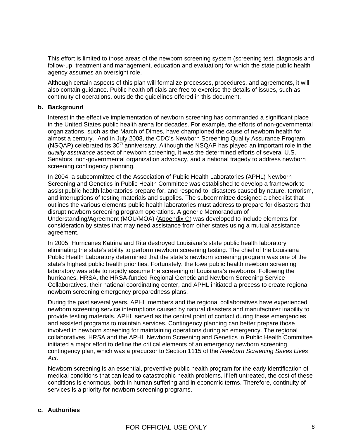This effort is limited to those areas of the newborn screening system (screening test, diagnosis and follow-up, treatment and management, education and evaluation) for which the state public health agency assumes an oversight role.

Although certain aspects of this plan will formalize processes, procedures, and agreements, it will also contain guidance. Public health officials are free to exercise the details of issues, such as continuity of operations, outside the guidelines offered in this document.

#### **b. Background**

Interest in the effective implementation of newborn screening has commanded a significant place in the United States public health arena for decades. For example, the efforts of non-governmental organizations, such as the March of Dimes, have championed the cause of newborn health for almost a century. And in July 2008, the CDC's Newborn Screening Quality Assurance Program (NSQAP) celebrated its  $30<sup>th</sup>$  anniversary, Although the NSQAP has played an important role in the *quality assurance* aspect of newborn screening, it was the determined efforts of several U.S. Senators, non-governmental organization advocacy, and a national tragedy to address newborn screening contingency planning.

In 2004, a subcommittee of the Association of Public Health Laboratories (APHL) Newborn Screening and Genetics in Public Health Committee was established to develop a framework to assist public health laboratories prepare for, and respond to, disasters caused by nature, terrorism, and interruptions of testing materials and supplies. The subcommittee designed a checklist that outlines the various elements public health laboratories must address to prepare for disasters that disrupt newborn screening program operations. A generic Memorandum of Understanding/Agreement (MOU/MOA) ([Appendix C\)](#page-40-0) was developed to include elements for consideration by states that may need assistance from other states using a mutual assistance agreement.

In 2005, Hurricanes Katrina and Rita destroyed Louisiana's state public health laboratory eliminating the state's ability to perform newborn screening testing. The chief of the Louisiana Public Health Laboratory determined that the state's newborn screening program was one of the state's highest public health priorities. Fortunately, the Iowa public health newborn screening laboratory was able to rapidly assume the screening of Louisiana's newborns. Following the hurricanes, HRSA, the HRSA-funded Regional Genetic and Newborn Screening Service Collaboratives, their national coordinating center, and APHL initiated a process to create regional newborn screening emergency preparedness plans.

During the past several years, APHL members and the regional collaboratives have experienced newborn screening service interruptions caused by natural disasters and manufacturer inability to provide testing materials. APHL served as the central point of contact during these emergencies and assisted programs to maintain services. Contingency planning can better prepare those involved in newborn screening for maintaining operations during an emergency. The regional collaboratives, HRSA and the APHL Newborn Screening and Genetics in Public Health Committee initiated a major effort to define the critical elements of an emergency newborn screening contingency plan, which was a precursor to Section 1115 of the *Newborn Screening Saves Lives Act*.

Newborn screening is an essential, preventive public health program for the early identification of medical conditions that can lead to catastrophic health problems. If left untreated, the cost of these conditions is enormous, both in human suffering and in economic terms. Therefore, continuity of services is a priority for newborn screening programs.

#### **c. Authorities**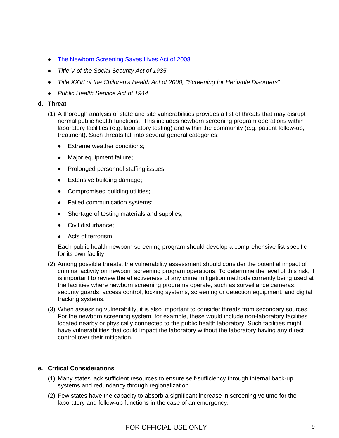- [The Newborn Screening Saves Lives Act of 2008](#page-10-0)
- *Title V of the Social Security Act of 1935*
- *Title XXVI of the Children's Health Act of 2000, "Screening for Heritable Disorders"*
- *Public Health Service Act of 1944*

#### **d. Threat**

- (1) A thorough analysis of state and site vulnerabilities provides a list of threats that may disrupt normal public health functions. This includes newborn screening program operations within laboratory facilities (e.g. laboratory testing) and within the community (e.g. patient follow-up, treatment). Such threats fall into several general categories:
	- Extreme weather conditions;
	- Major equipment failure;
	- Prolonged personnel staffing issues;
	- Extensive building damage;
	- Compromised building utilities;
	- Failed communication systems;
	- Shortage of testing materials and supplies;
	- Civil disturbance;
	- Acts of terrorism.

Each public health newborn screening program should develop a comprehensive list specific for its own facility.

- is important to review the effectiveness of any crime mitigation methods currently being used at security guards, access control, locking systems, screening or detection equipment, and digital (2) Among possible threats, the vulnerability assessment should consider the potential impact of criminal activity on newborn screening program operations. To determine the level of this risk, it the facilities where newborn screening programs operate, such as surveillance cameras, tracking systems.
- For the newborn screening system, for example, these would include non-laboratory facilities have vulnerabilities that could impact the laboratory without the laboratory having any direct control over their mitigation. (3) When assessing vulnerability, it is also important to consider threats from secondary sources. located nearby or physically connected to the public health laboratory. Such facilities might

## **e. Critical Considerations**

- (1) Many states lack sufficient resources to ensure self-sufficiency through internal back-up systems and redundancy through regionalization.
- (2) Few states have the capacity to absorb a significant increase in screening volume for the laboratory and follow-up functions in the case of an emergency.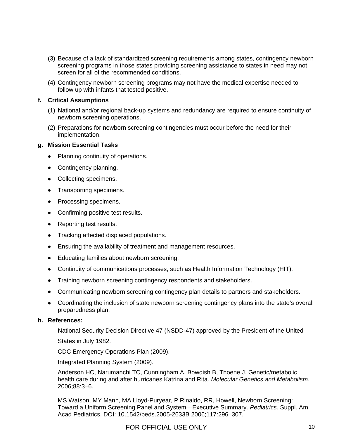- <span id="page-9-0"></span>(3) Because of a lack of standardized screening requirements among states, contingency newborn screening programs in those states providing screening assistance to states in need may not screen for all of the recommended conditions.
- (4) Contingency newborn screening programs may not have the medical expertise needed to follow up with infants that tested positive.

## **f. Critical Assumptions**

- (1) National and/or regional back-up systems and redundancy are required to ensure continuity of newborn screening operations.
- (2) Preparations for newborn screening contingencies must occur before the need for their implementation.

## **g. Mission Essential Tasks**

- Planning continuity of operations.
- Contingency planning.
- Collecting specimens.
- Transporting specimens.
- Processing specimens.
- Confirming positive test results.
- Reporting test results.
- Tracking affected displaced populations.
- Ensuring the availability of treatment and management resources.
- Educating families about newborn screening.
- Continuity of communications processes, such as Health Information Technology (HIT).
- Training newborn screening contingency respondents and stakeholders.
- Communicating newborn screening contingency plan details to partners and stakeholders.
- Coordinating the inclusion of state newborn screening contingency plans into the state's overall preparedness plan.

#### **h. Ref erences:**

National Security Decision Directive 47 (NSDD-47) approved by the President of the United

States in July 1982.

CDC Emergency Operations Plan (2009).

Integrated Planning System (2009).

Anderson HC, Narumanchi TC, Cunningham A, Bowdish B, Thoene J. Genetic/metabolic health care during and after hurricanes Katrina and Rita. *Molecular Genetics and Metabolism.* 2006;88:3–6.

Acad Pediatrics. DOI: 10.1542/peds.2005-2633B 2006;117:296-307. MS Watson, MY Mann, MA Lloyd-Puryear, P Rinaldo, RR, Howell, Newborn Screening: Toward a Uniform Screening Panel and System—Executive Summary. *Pediatrics*. Suppl. Am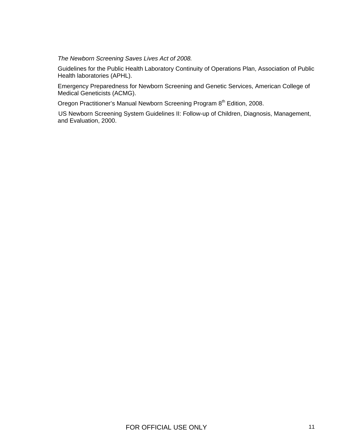<span id="page-10-0"></span>*The Newborn Screening Saves Lives Act of 2008.* 

Guidelines for the Public Health Laboratory Continuity of Operations Plan, Association of Public Health laboratories (APHL).

Emergency Preparedness for Newborn Screening and Genetic Services, American College of Medical Geneticists (ACMG).

Oregon Practitioner's Manual Newborn Screening Program 8<sup>th</sup> Edition, 2008.

 US Newborn Screening System Guidelines II: Follow-up of Children, Diagnosis, Management, and Evaluation, 2000.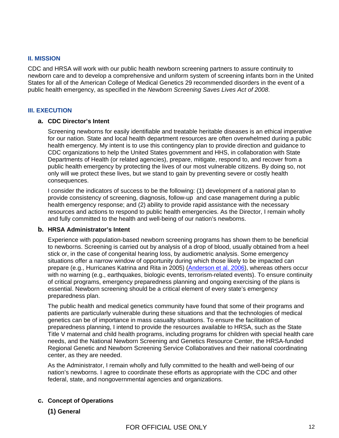#### **II. MISSION**

CDC and HRSA will work with our public health newborn screening partners to assure continuity to newborn care and to develop a comprehensive and uniform system of screening infants born in the United States for all of the American College of Medical Genetics 29 recommended disorders in the event of a public health emergency, as specified in the *Newborn Screening Saves Lives Act of 2008*.

#### **III. EXECUTION**

#### **a. CDC Director's Intent**

Screening newborns for easily identifiable and treatable heritable diseases is an ethical imperative for our nation. State and local health department resources are often overwhelmed during a public health emergency. My intent is to use this contingency plan to provide direction and guidance to CDC organizations to help the United States government and HHS, in collaboration with State Departments of Health (or related agencies), prepare, mitigate, respond to, and recover from a public health emergency by protecting the lives of our most vulnerable citizens. By doing so, not only will we protect these lives, but we stand to gain by preventing severe or costly health consequences.

I consider the indicators of success to be the following: (1) development of a national plan to provide consistency of screening, diagnosis, follow-up and case management during a public health emergency response; and (2) ability to provide rapid assistance with the necessary resources and actions to respond to public health emergencies. As the Director, I remain wholly and fully committed to the health and well-being of our nation's newborns.

#### **b. HRSA Administrator's Intent**

Experience with population-based newborn screening programs has shown them to be beneficial to newborns. Screening is carried out by analysis of a drop of blood, usually obtained from a heel stick or, in the case of congenital hearing loss, by audiometric analysis. Some emergency situations offer a narrow window of opportunity during which those likely to be impacted can prepare (e.g., Hurricanes Katrina and Rita in 2005) [\(Anderson et al. 2006\)](#page-9-0), whereas others occur with no warning (e.g., earthquakes, biologic events, terrorism-related events). To ensure continuity of critical programs, emergency preparedness planning and ongoing exercising of the plans is essential. Newborn screening should be a critical element of every state's emergency preparedness plan.

The public health and medical genetics community have found that some of their programs and patients are particularly vulnerable during these situations and that the technologies of medical genetics can be of importance in mass casualty situations. To ensure the facilitation of preparedness planning, I intend to provide the resources available to HRSA, such as the State Title V maternal and child health programs, including programs for children with special health care needs, and the National Newborn Screening and Genetics Resource Center, the HRSA-funded Regional Genetic and Newborn Screening Service Collaboratives and their national coordinating center, as they are needed.

As the Administrator, I remain wholly and fully committed to the health and well-being of our nation's newborns. I agree to coordinate these efforts as appropriate with the CDC and other federal, state, and nongovernmental agencies and organizations.

#### **c. Concept of Operations**

## **(1) General**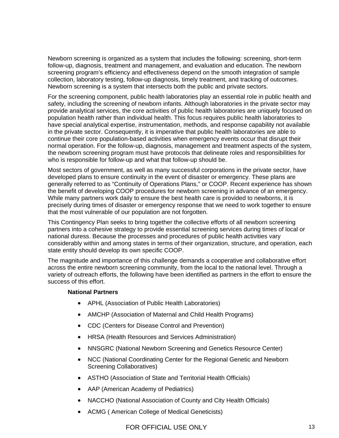Newborn screening is organized as a system that includes the following: screening, short-term follow-up, diagnosis, treatment and management, and evaluation and education. The newborn screening program's efficiency and effectiveness depend on the smooth integration of sample collection, laboratory testing, follow-up diagnosis, timely treatment, and tracking of outcomes. Newborn screening is a system that intersects both the public and private sectors.

For the screening component, public health laboratories play an essential role in public health and safety, including the screening of newborn infants. Although laboratories in the private sector may provide analytical services, the core activities of public health laboratories are uniquely focused on population health rather than individual health. This focus requires public health laboratories to have special analytical expertise, instrumentation, methods, and response capability not available in the private sector. Consequently, it is imperative that public health laboratories are able to continue their core population-based activities when emergency events occur that disrupt their normal operation. For the follow-up, diagnosis, management and treatment aspects of the system, the newborn screening program must have protocols that delineate roles and responsibilities for who is responsible for follow-up and what that follow-up should be.

Most sectors of government, as well as many successful corporations in the private sector, have developed plans to ensure continuity in the event of disaster or emergency. These plans are generally referred to as "Continuity of Operations Plans," or COOP. Recent experience has shown the benefit of developing COOP procedures for newborn screening in advance of an emergency. While many partners work daily to ensure the best health care is provided to newborns, it is precisely during times of disaster or emergency response that we need to work together to ensure that the most vulnerable of our population are not forgotten.

This Contingency Plan seeks to bring together the collective efforts of all newborn screening partners into a cohesive strategy to provide essential screening services during times of local or national duress. Because the processes and procedures of public health activities vary considerably within and among states in terms of their organization, structure, and operation, each state entity should develop its own specific COOP.

The magnitude and importance of this challenge demands a cooperative and collaborative effort across the entire newborn screening community, from the local to the national level. Through a variety of outreach efforts, the following have been identified as partners in the effort to ensure the success of this effort.

#### **National Partners**

- APHL (Association of Public Health Laboratories)
- AMCHP (Association of Maternal and Child Health Programs)
- CDC (Centers for Disease Control and Prevention)
- HRSA (Health Resources and Services Administration)
- NNSGRC (National Newborn Screening and Genetics Resource Center)
- NCC (National Coordinating Center for the Regional Genetic and Newborn Screening Collaboratives)
- ASTHO (Association of State and Territorial Health Officials)
- AAP (American Academy of Pediatrics)
- NACCHO (National Association of County and City Health Officials)
- ACMG (American College of Medical Geneticists)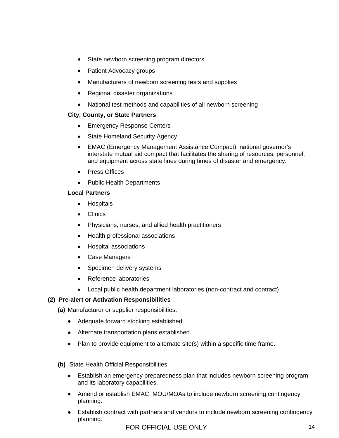- State newborn screening program directors
- Patient Advocacy groups
- Manufacturers of newborn screening tests and supplies
- Regional disaster organizations
- National test methods and capabilities of all newborn screening

#### **City, County, or State Partners**

- Emergency Response Centers
- State Homeland Security Agency
- interstate mutual aid compact that facilitates the sharing of resources, personnel, and equipment across state lines during times of disaster and emergency. • EMAC (Emergency Management Assistance Compact): national governor's
- Press Offices
- Public Health Departments

#### **Local Partners**

- Hospitals
- Clinics
- Physicians, nurses, and allied health practitioners
- Health professional associations
- Hospital associations
- Case Managers
- Specimen delivery systems
- Reference laboratories
- Local public health department laboratories (non-contract and contract)

## **(2) Pre-alert or Activation Responsibilities**

**(a)** Manufacturer or supplier responsibilities.

- Adequate forward stocking established.
- Alternate transportation plans established.
- Plan to provide equipment to alternate site(s) within a specific time frame.
- **(b)** State Health Official Responsibilities.
	- Establish an emergency preparedness plan that includes newborn screening program and its laboratory capabilities.
	- Amend or establish EMAC, MOU/MOAs to include newborn screening contingency planning.
	- Establish contract with partners and vendors to include newborn screening contingency planning.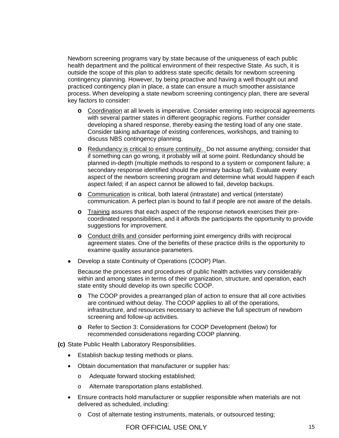practiced contingency plan in place, a state can ensure a much smoother assistance Newborn screening programs vary by state because of the uniqueness of each public health department and the political environment of their respective State. As such, it is outside the scope of this plan to address state specific details for newborn screening contingency planning. However, by being proactive and having a well thought out and process. When developing a state newborn screening contingency plan, there are several key factors to consider:

- **o** Coordination at all levels is imperative. Consider entering into reciprocal agreeme nts with several partner states in different geographic regions. Further consider developing a shared response, thereby easing the testing load of any one state. Consider taking advantage of existing conferences, workshops, and training to discuss NBS contingency planning.
- **o** Redundancy is critical to ensure continuity. Do not assume anything; consider that if something can go wrong, it probably will at some point. Redundancy should b e planned in-depth (multiple methods to respond to a system or component failure; a secondary response identified should the primary backup fail). Evaluate every aspect of the newborn screening program and determine what would happen if each aspect failed; if an aspect cannot be allowed to fail, develop backups.
- **o** Communication is critical, both lateral (intrastate) and vertical (interstate) communication. A perfect plan is bound to fail if people are not aware of the details.
- **o** Training assures that each aspect of the response network exercises their precoordinated responsibilities, and it affords the participants the opportunity to provide suggestions for improvement.
- **o** Conduct drills and consider performing joint emergency drills with reciprocal agreement states. One of the benefits of these practice drills is the opportunity to examine quality assurance parameters.
- Develop a state Continuity of Operations (COOP) Plan.

Because the processes and procedures of public health activities vary considerably within and among states in terms of their organization, structure, and operation, each state entity should develop its own specific COOP.

- are continued without delay. The COOP applies to all of the operations, infrastructure, and resources necessary to achieve the full spectrum of newborn **o** The COOP provides a prearranged plan of action to ensure that all core activities screening and follow-up activities.
- o Refer to Section 3: Considerations for COOP Development (below) for recommended considerations regarding COOP planning.
- **(c)** State Public Health Laboratory Responsibilities.
	- Establish backup testing methods or plans.
	- Obtain documentation that manufacturer or supplier has:
		- o Adequate forward stocking established;
		- o Alternate transportation plans established.
	- Ensure contracts hold manufacturer or supplier responsible when materials are not delivered as scheduled, including:
		- $\circ$  Cost of alternate testing instruments, materials, or outsourced testing;

FOR OFFICIAL USE ONLY 15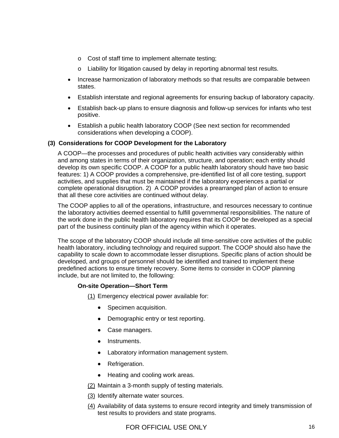- o Cost of staff time to implement alternate testing;
- $\circ$  Liability for litigation caused by delay in reporting abnormal test results.
- Increase harmonization of laboratory methods so that results are comparable between states.
- Establish interstate and regional agreements for ensuring backup of laboratory capacity.
- Establish back-up plans to ensure diagnosis and follow-up services for infants who test positive.
- Establish a public health laboratory COOP (See next section for recommended considerations when developing a COOP).

## **(3) Considerations for COOP Development for the Laboratory**

complete operational disruption. 2) A COOP provides a prearranged plan of action to ensure A COOP—the processes and procedures of public health activities vary considerably within and among states in terms of their organization, structure, and operation; each entity should develop its own specific COOP. A COOP for a public health laboratory should have two basic features: 1) A COOP provides a comprehensive, pre-identified list of all core testing, support activities, and supplies that must be maintained if the laboratory experiences a partial or that all these core activities are continued without delay.

the work done in the public health laboratory requires that its COOP be developed as a special The COOP applies to all of the operations, infrastructure, and resources necessary to continue the laboratory activities deemed essential to fulfill governmental responsibilities. The nature of part of the business continuity plan of the agency within which it operates.

capability to scale down to accommodate lesser disruptions. Specific plans of action should be predefined actions to ensure timely recovery. Some items to consider in COOP planning include, but are not limited to, the following: The scope of the laboratory COOP should include all time-sensitive core activities of the public health laboratory, including technology and required support. The COOP should also have the developed, and groups of personnel should be identified and trained to implement these

#### **On-site Operation—Short Term**

(1) Emergency electrical power available for:

- Specimen acquisition.
- Demographic entry or test reporting.
- Case managers.
- Instruments.
- Laboratory information management system.
- Refrigeration.
- Heating and cooling work areas.
- (2) Maintain a 3-month supply of testing materials.
- (3) Identify alternate water sources.
- (4) Availability of data systems to ensure record integrity and timely transmission of test results to providers and sta te programs.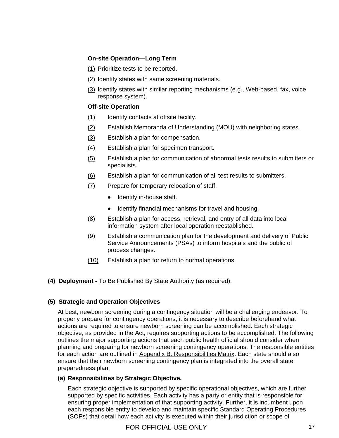## **On-site Operation—Long Term**

- (1) Prioritize tests to be reported.
- (2) Identify states with same screening materials.
- (3) Identify states with similar reporting mechanisms (e.g., Web-based, fax, voice response system).

## **Off-site Operation**

- (1) Identify contacts at offsite facility.
- (2) Establish Memoranda of Understanding (MOU) with neighboring states.
- (3) Establish a plan for compensation.
- (4) Establish a plan for specimen transport.
- (5) Establish a plan for communication of abnormal tests results to submitters or specialists.
- (6) Establish a plan for communication of all test results to submitters.
- (7) Prepare for temporary relocation of staff.
	- Identify in-house staff.
	- Identify financial mechanisms for travel and housing.
- (8) Establish a plan for access, retrieval, and entry of all data into local information system after local operation reestablished.
- (9) Establish a communication plan for the development and delivery of Public Service Announcements (PSAs) to inform hospitals and the public of process changes.
- (10) Establish a plan for return to normal operations.
- **(4) Deployment -** To Be Published By State Authority (as required).

## **(5) Strategic and Operation Objectives**

objective, as provided in the Act, requires supporting actions to be accomplished. The following outlines the major supporting actions that each public health official should consider when planning and preparing for newborn screening contingency operations. The responsible entities for each action are outlined in Appendix B: Responsibilities Matrix. Each state should also At best, newborn screening during a contingency situation will be a challenging endeavor. To properly prepare for contingency operations, it is necessary to describe beforehand what actions are required to ensure newborn screening can be accomplished. Each strategic ensure that their newborn screening contingency plan is integrated into the overall state pre paredness plan.

## **(a) Responsibilities by Strategic Objective.**

supported by specific activities. Each activity has a party or entity that is responsible for (SOPs) that detail how each activity is executed within their jurisdiction or scope of Each strategic objective is supported by specific operational objectives, which are further ensuring proper implementation of that supporting activity. Further, it is incumbent upon each responsible entity to develop and maintain specific Standard Operating Procedures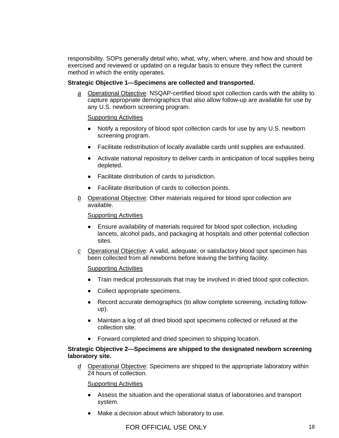responsibility. SOPs generally detail who, what, why, when, where, and how and should be exercised and reviewed or updated on a regular basis to ensure they reflect the current method in which the entity operates.

## **Strategic Objective 1—Specimens are collected and transported.**

*a* Operational Objective: NSQAP-certified blood spot collection cards with the ability to capture appropriate demographics that also allow follow-up are available for use by any U.S. newborn screening program.

## Supporting Activities

- Notify a repository of blood spot collection cards for use by any U.S. newborn screening program.
- Facilitate redistribution of locally available cards until supplies are exhausted.
- Activate national repository to deliver cards in anticipation of local supplies being depleted.
- Facilitate distribution of cards to jurisdiction.
- Facilitate distribution of cards to collection points.
- *b* Operational Objective: Other materials required for blood spot collection are available.

#### Supporting Activities

- lancets, alcohol pads, and packaging at hospitals and other potential collection • Ensure availability of materials required for blood spot collection, including sites.
- *c* Operational Objective: A valid, adequate, or satisfactory blood spot specimen has been collected from all newborns before leaving the birthing facility.

Supporting Activities

- Train medical professionals that may be involved in dried blood spot collection.
- Collect appropriate specimens.
- Record accurate demographics (to allow complete screening, including followup).
- collection site. • Maintain a log of all dried blood spot specimens collected or refused at the
- Forward completed and dried specimen to shipping location.

#### **Strategic Objective 2—Specimens are shipped to the designated newborn screening labora tory site.**

d Operational Objective: Specimens are shipped to the appropriate laboratory within 24 hours of c ollection.

- Assess the situation and the operational status of laboratories and transport system.
- Make a decision about which laboratory to use.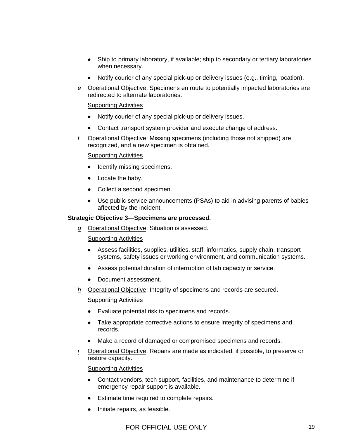- Ship to primary laboratory, if available; ship to secondary or tertiary laboratories when necessary.
- Notify courier of any special pick-up or delivery issues (e.g., timing, location).
- *e* Operational Objective: Specimens en route to potentially impacted laboratories are redirected to alternate laboratories.

## Supporting Activities

- Notify courier of any special pick-up or delivery issues.
- Contact transport system provider and execute change of address.
- *f* Operational Objective: Missing specimens (including those not shipped) are recognized, and a new specimen is obtained.

#### Supporting Activities

- Identify missing specimens.
- Locate the baby.
- Collect a second specimen.
- Use public service announcements (PSAs) to aid in advising parents of babies affected by the inc ident.

#### **Strategic Objective 3—Specimens are processed.**

*g* Operational Objective: Situation is assessed.

#### Supporting Activities

- Assess facilities, supplies, utilities, staff, informatics, supply chain, transport systems, safety issues or working environment, and communication systems.
- Assess potential duration of interruption of lab capacity or service.
- Document assessment.
- *h* Operational Objective: Integrity of specimens and records are secured.

Supporting Activities

- Evaluate potential risk to specimens and records.
- Take appropriate corrective actions to ensure integrity of specimens and records.
- Make a record of damaged or compromised specimens and records.
- *i* Operational Objective: Repairs are made as indicated, if possible, to preserve or restore capacity.

- Contact vendors, tech support, facilities, and maintenance to determine if emergency repair support is available.
- Estimate time required to complete repairs.
- Initiate repairs, as feasible.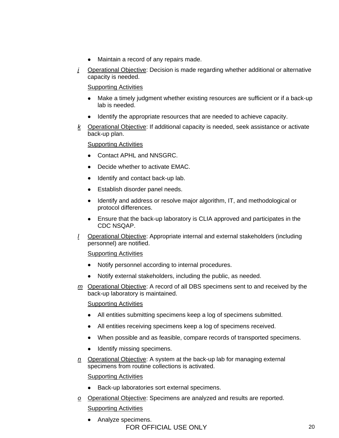- Maintain a record of any repairs made.
- *j* Operational Objective: Decision is made regarding whether additional or alternative capacity is needed.

Supporting Activities

- Make a timely judgment whether existing resources are sufficient or if a back-up lab is needed.
- Identify the appropriate resources that are needed to achieve capacity.
- *k* Operational Objective: If additional capacity is needed, seek assistance or activate back-up plan.

## Supporting Activities

- Contact APHL and NNSGRC.
- Decide whether to activate EMAC.
- Identify and contact back-up lab.
- Establish disorder panel needs.
- Identify and address or resolve major algorithm, IT, and methodological or protocol differences.
- Ensure that the back-up laboratory is CLIA approved and participates in the CDC NSQAP.
- *l* Operational Objective: Appropriate internal and external stakeholders (including personnel) are notified.

## Supporting Activities

- Notify personnel according to internal procedures.
- Notify external stakeholders, including the public, as needed.
- *m* Operational Objective: A record of all DBS specimens sent to and received by the back-up laboratory is maintained.

## Supporting Activities

- All entities submitting specimens keep a log of specimens submitted.
- All entities receiving specimens keep a log of specimens received.
- When possible and as feasible, compare records of transported specimens.
- Identify missing specimens.
- *n* Operational Objective: A system at the back-up lab for managing external specimens from routine collections is activated.

- Back-up laboratories sort external specimens.
- *o* Operational Objective: Specimens are analyzed and results are reported. Supporting Activities
	- FOR OFFICIAL USE ONLY 20 • Analyze specimens.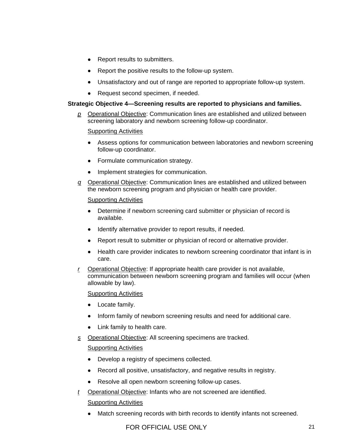- Report results to submitters.
- Report the positive results to the follow-up system.
- Unsatisfactory and out of range are reported to appropriate follow-up system.
- Request second specimen, if needed.

## **Strategic Objective 4—Screening results are reported to physicians and families.**

*p* Operational Objective: Communication lines are established and utilized between screening laboratory and newborn screening follow-up coordinator.

## Supporting Activities

- Assess options for communication between laboratories and newborn screening follow-up coordinator.
- Formulate communication strategy.
- Implement strategies for communication.
- *q* Operational Objective: Communication lines are established and utilized between the newborn screening program and physician or health care provider.

## Supporting Activities

- Determine if newborn screening card submitter or physician of record is available.
- Identify alternative provider to report results, if needed.
- Report result to submitter or physician of record or alternative provider.
- Health care provider indicates to newborn screening coordinator that infant is in care.
- *r* Operational Objective: If appropriate health care provider is not available, communication between newborn screening program and families will occur (when allowable by law).

## Supporting Activities

- Locate family.
- Inform family of newborn screening results and need for additional care.
- Link family to health care.
- *s* Operational Objective: All screening specimens are tracked.

## Supporting Activities

- Develop a registry of specimens collected.
- Record all positive, unsatisfactory, and negative results in registry.
- Resolve all open newborn screening follow-up cases.
- *t* Operational Objective: Infants who are not screened are identified.

## Supporting Activities

• Match screening records with birth records to identify infants not screened.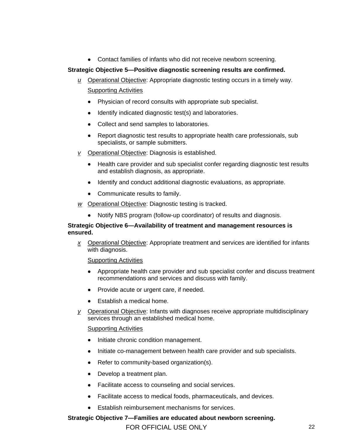• Contact families of infants who did not receive newborn screening.

## **Strategic Objective 5--Positive diagnostic screening results are confirmed.**

- *u* Operational Objective: Appropriate diagnostic testing occurs in a timely way. Supporting Activities
	- Physician of record consults with appropriate sub specialist.
	- Identify indicated diagnostic test(s) and laboratories.
	- Collect and send samples to laboratories.
	- Report diagnostic test results to appropriate health care professionals, sub specialists, or sample submitters.
- *v* Operational Objective: Diagnosis is established.
	- Health care provider and sub specialist confer regarding diagnostic test results and establish diagnosis, as appropriate.
	- Identify and conduct additional diagnostic evaluations, as appropriate.
	- Communicate results to family.
- *w* Operational Objective: Diagnostic testing is tracked.
	- Notify NBS program (follow-up coordinator) of results and diagnosis.

## **Strategic Objective 6—Availability of treatment and management resources is ensured.**

*x* Operational Objective: Appropriate treatment and services are identified for infants with diagnosis.

Supporting Activities

- Appropriate health care provider and sub specialist confer and discuss treatment recommendations and services and discuss with family.
- Provide acute or urgent care, if needed.
- Establish a medical home.
- *y* Operational Objective: Infants with diagnoses receive appropriate multidisciplinary services through an established medical home.

## **Supporting Activities**

- Initiate chronic condition management.
- Initiate co-management between health care provider and sub specialists.
- Refer to community-based organization(s).
- Develop a treatment plan.
- Facilitate access to counseling and social services.
- Facilitate access to medical foods, pharmaceuticals, and devices.
- Establish reimbursement mechanisms for services.

**Strategic Objective 7—Families are educated about newborn screening.**

FOR OFFICIAL USE ONLY 22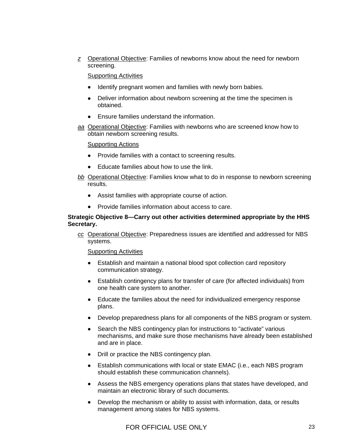*z* Operational Objective: Families of newborns know about the need for newborn screening.

Supporting Activities

- Identify pregnant women and families with newly born babies.
- Deliver information about newborn screening at the time the specimen is obtained.
- Ensure families understand the information.
- *aa* Operational Objective: Families with newborns who are screened know how to obtain newborn screening results.

## Supporting Actions

- Provide families with a contact to screening results.
- Educate families about how to use the link.
- *bb* Operational Objective: Families know what to do in response to newborn screening results.
	- Assist families with appropriate course of action.
	- Provide families information about access to care.

## **Strategic Objective 8—Carry out other activities determined appropriate by the HHS Secretary.**

*cc* Operational Objective: Preparedness issues are identified and addressed for NB S systems.

- Establish and maintain a national blood spot collection card repository communication strategy.
- Establish contingency plans for transfer of care (for affected individuals) from one health care system to another.
- Educate the families about the need for individualized emergency response plans.
- Develop preparedness plans for all components of the NBS program or system.
- Search the NBS contingency plan for instructions to "activate" various mechanisms, and make sure those mechanisms have already been established and are in place.
- Drill or practice the NBS contingency plan.
- Establish communications with local or state EMAC (i.e., each NBS program should establish these communication channels).
- Assess the NBS emergency operations plans that states have developed, and maintain an electronic library of such documents.
- management among states for NBS systems. • Develop the mechanism or ability to assist with information, data, or results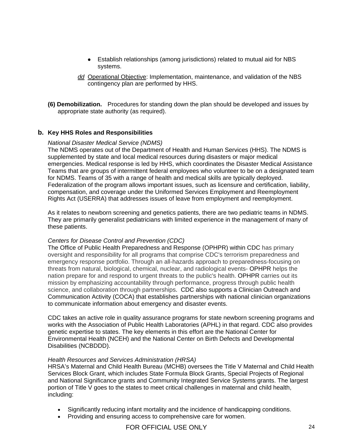- Establish relationships (among jurisdictions) related to mutual aid for NBS systems.
- *dd* Operational Objective: Implementation, maintenance, and validation of the NBS contingency plan are performed by HHS.
- **(6) Demobilization.** Procedures for standing down the plan should be developed and is sues by appropriate state authority (as required).

## **b.** Key HHS Roles and Responsibilities

## *National Disaster Medical Service (NDMS)*

supplemented by state and local medical resources during disasters or major medical emergencies. Medical response is led by HHS, which coordinates the Disaster Medical Assistance Teams that are groups of intermittent federal employees who volunteer to be on a designated team Federalization of the program allows important issues, such as licensure and certification, liability, The NDMS operates out of the Department of Health and Human Services (HHS). The NDMS is for NDMS. Teams of 35 with a range of health and medical skills are typically deployed. compensation, and coverage under the Uniformed Services Employment and Reemployment Rights Act (USERRA) that addresses issues of leave from employment and reemployment.

. As it relates to newborn screening and genetics patients, there are two pediatric teams in NDMS They are primarily generalist pediatricians with limited experience in the management of many of these patients.

#### *Centers for Disease Control and Prevention (CDC)*

nation prepare for and respond to urgent threats to the public's health. OPHPR carries out its mission by emphasizing accountability through performance, progress through public health The Office of Public Health Preparedness and Response (OPHPR) within CDC has primary oversight and responsibility for all programs that comprise CDC's terrorism preparedness and emergency response portfolio. Through an all-hazards approach to preparedness-focusing on threats from natural, biological, chemical, nuclear, and radiological events- OPHPR helps the science, and collaboration through partnerships. CDC also supports a Clinician Outreach and Communication Activity (COCA) that establishes partnerships with national clinician organizations to communicate information about emergency and disaster events.

CDC takes an active role in quality assurance programs for state newborn screening programs and works with the Association of Public Health Laboratories (APHL) in that regard. CDC also provides genetic expertise to states. The key elements in this effort are the National Center for Environmental Health (NCEH) and the National Center on Birth Defects and Developmental Disabilities (NCBDDD).

#### *Health Resources and Services Administration (HRSA)*

HRSA's Maternal and Child Health Bureau (MCHB) oversees the Title V Maternal and Child Health and National Significance grants and Community Integrated Service Systems grants. The largest Services Block Grant, which includes State Formula Block Grants, Special Projects of Regional portion of Title V goes to the states to meet critical challenges in maternal and child health, including:

- Significantly reducing infant mortality and the incidence of handicapping conditions.
- Providing and ensuring access to comprehensive care for women.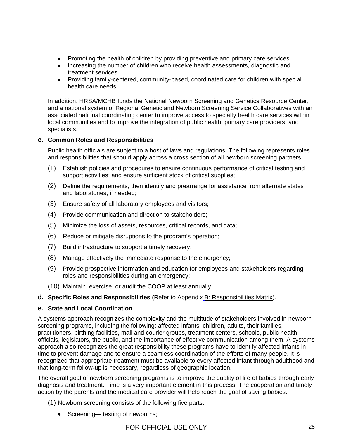- Promoting the health of children by providing preventive and primary care services.
- Increasing the number of children who receive health assessments, diagnostic and treatment services.
- Providing family-centered, community-based, coordinated care for children with special health care needs.

In addition, HRSA/MCHB funds the National Newborn Screening and Genetics Resource Center, associated national coordinating center to improve access to specialty health care services within and a national system of Regional Genetic and Newborn Screening Service Collaboratives with an local communities and to improve the integration of public health, primary care providers, and specialists.

## **c. Common Roles and Responsibilities**

Public health officials are subject to a host of laws and regulations. The following represents roles and responsibilities that should apply across a cross section of all newborn screening partners.

- (1) Establish policies and procedures to ensure continuous performance of critical testing and support activities; and ensure sufficient stock of critical supplies;
- (2) Define the requirements, then identify and prearrange for assistance from alternate states and laboratories, if needed;
- (3) Ensure safety of all laboratory employees and visitors;
- (4) Provide communication and direction to stakeholders;
- (5) Minimize the loss of assets, resources, critical records, and data;
- (6) Reduce or mitigate disruptions to the program's operation;
- (7) Build infrastructure to support a timely recovery;
- (8) Manage effectively the immediate response to the emergency;
- (9) Provide prospective information and education for employees and stakeholders regarding roles and responsibilities during an emergency;
- (10) Maintain, exercise, or audit the COOP at least annually.

## **d. Specific Roles and Responsibilities (**Refer to Appendix B: Responsibilities Matrix).

## **e. State and Local Coordination**

A systems approach recognizes the complexity and the multitude of stakeholders involved in newborn screening programs, including the following: affected infants, children, adults, their families, practitioners, birthing facilities, mail and courier groups, treatment centers, schools, public health officials, legislators, the public, and the importance of effective communication among them. A systems approach also recognizes the great responsibility these programs have to identify affected infants in time to prevent damage and to ensure a seamless coordination of the efforts of many people. It is recognized that appropriate treatment must be available to every affected infant through adulthood and that long-term follow-up is necessary, regardless of geographic location.

diagnosis and treatment. Time is a very important element in this process. The cooperation and timely The overall goal of newborn screening programs is to improve the quality of life of babies through early action by the parents and the medical care provider will help reach the goal of saving babies.

(1) Newborn screening consists of the following five parts:

• Screening— testing of newborns;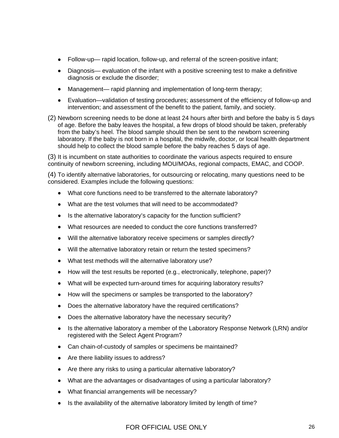- Follow-up— rapid location, follow-up, and referral of the screen-positive infant;
- Diagnosis— evaluation of the infant with a positive screening test to make a definitive diagnosis or exclude the disorder;
- Management— rapid planning and implementation of long-term therapy;
- Evaluation—validation of testing procedures; assessment of the efficiency of follow-up and intervention; and assessment of the benefit to the patient, family, and society.
- (2) Newborn screening needs to be done at least 24 hours after birth and before the baby is 5 days of age. Before the baby leaves the hospital, a few drops of blood should be taken, preferably from the baby's heel. The blood sample should then be sent to the newborn screening laboratory. If the baby is not born in a hospital, the midwife, doctor, or local health department should help to collect the blood sample before the baby reaches 5 days of age.

(3) It is incumbent on state authorities to coordinate the various aspects required to ensure continuity of newborn screening, including MOU/MOAs, regional compacts, EMAC, and COOP.

(4) To identify alternative laboratories, for outsourcing or relocating, many questions need to be considered. Examples include the following questions:

- What core functions need to be transferred to the alternate laboratory?
- What are the test volumes that will need to be accommodated?
- Is the alternative laboratory's capacity for the function sufficient?
- What resources are needed to conduct the core functions transferred?
- Will the alternative laboratory receive specimens or samples directly?
- Will the alternative laboratory retain or return the tested specimens?
- What test methods will the alternative laboratory use?
- How will the test results be reported (e.g., electronically, telephone, paper)?
- What will be expected turn-around times for acquiring laboratory results?
- How will the specimens or samples be transported to the laboratory?
- Does the alternative laboratory have the required certifications?
- Does the alternative laboratory have the necessary security?
- Is the alternative laboratory a member of the Laboratory Response Network (LRN) and/or registered with the Select Agent Program?
- Can chain-of-custody of samples or specimens be maintained?
- Are there liability issues to address?
- Are there any risks to using a particular alternative laboratory?
- What are the advantages or disadvantages of using a particular laboratory?
- What financial arrangements will be necessary?
- Is the availability of the alternative laboratory limited by length of time?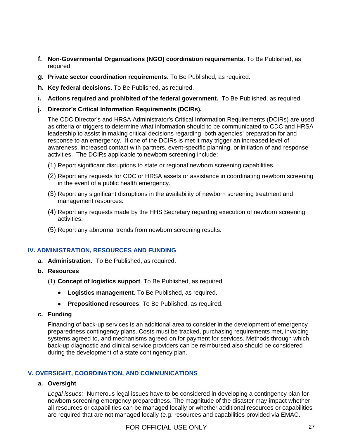- f. Non-Governmental Organizations (NGO) coordination requirements. To Be Published, as required.
- g. Private sector coordination requirements. To Be Published, as required.
- **h. Key federal decisions.** To Be Published, as required.
- **i.** Actions required and prohibited of the federal government. To Be Published, as required.
- **j.** Director's Critical Information Requirements (DCIRs).

The CDC Director's and HRSA Administrator's Critical Information Requirements (DCIRs) are used as criteria or triggers to determine what information should to be communicated to CDC and HRSA leadership to assist in making critical decisions regarding both agencies' preparation for and response to an emergency. If one of the DCIRs is met it may trigger an increased level of awareness, increased contact with partners, event-specific planning, or initiation of and response activities. The DCIRs applicable to newborn screening include:

- (1) Report significant disruptions to state or regional newborn screening capabilities.
- (2) Report any requests for CDC or HRSA assets or assistance in coordinating newborn screening in the event of a public health emergency.
- (3) Report any significant disruptions in the availability of newborn screening treatment and management resources.
- (4) Report any requests made by the HHS Secretary regarding execution of newborn screening activities.
- (5) Report any abnormal trends from newborn screening results.

## **. ADMINISTRATION, RESOURCES AND FUNDING IV**

- **a. Administration.** To Be Published, as required.
- **b. Resources**
	- (1) **Concept of logistics support**. To Be Published, as required.
		- **Logistics management**. To Be Published, as required.
		- **Prepositioned resources**. To Be Published, as required.
- **c. Funding**

Financing of back-up services is an additional area to consider in the development of emergency preparedness contingency plans. Costs must be tracked, purchasing requirements met, invoicing systems agreed to, and mechanisms agreed on for payment for services. Methods through which back-up diagnostic and clinical service providers can be reimbursed also should be considered during the development of a state contingency plan.

## **V. OVE RSIGHT, COORDINATION, AND COMMUNICATIONS**

## **a. Oversight**

Legal issues: Numerous legal issues have to be considered in developing a contingency plan for all resources or capabilities can be managed locally or whether additional resources or capabilities newborn screening emergency preparedness. The magnitude of the disaster may impact whether are required that are not managed locally (e.g. resources and capabilities provided via EMAC.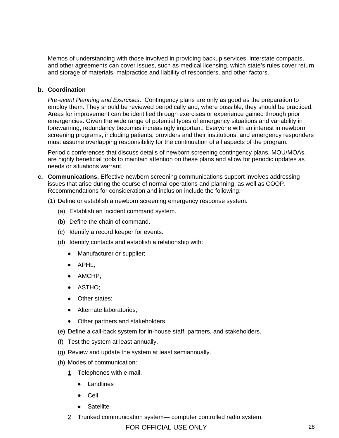Memos of understanding with those involved in providing backup services, interstate compacts, and other agreements can cover issues, such as medical licensing, which state's rules cover return and storage of materials, malpractice and liability of responders, and other factors.

## **b. Coordination**

Pre-event Planning and Exercises: Contingency plans are only as good as the preparation to employ them. They should be reviewed periodically and, where possible, they should be practiced. Areas for improvement can be identified through exercises or experience gained through prior emergencies. Given the wide range of potential types of emergency situations and variability in forewarning, redundancy becomes increasingly important. Everyone with an interest in newborn screening programs, including patients, providers and their institutions, and emergency responders must assume overlapping responsibility for the continuation of all aspects of the program.

Periodic conferences that discuss details of newborn screening contingency plans, MOU/MOAs, are highly beneficial tools to maintain attention on these plans and allow for periodic updates as needs or situations warrant.

- c. Communications. Effective newborn screening communications support involves addressing issues that arise during the course of normal operations and planning, as well as COOP. Recommendations for consideration and inclusion include the following:
	- (1) Define or establish a newborn screening emergency response system.
		- (a) Establish an incident command system.
		- (b) Define the chain of command.
		- (c) Identify a record keeper for events.
		- (d) Identify contacts and establish a relationship with:
			- Manufacturer or supplier;
			- APHL;
			- AMCHP;
			- ASTHO;
			- Other states;
			- Alternate laboratories;
			- Other partners and stakeholders.
		- (e) Define a call-back system for in-house staff, partners, and stakeholders.
		- (f) Test the system at least annually.
		- (g) Review and update the system at least semiannually.
		- (h) Modes of communication:
			- 1 Telephones with e-mail.
				- Landlines
				- Cell
				- Satellite
			- $2$  Trunked communication system— computer controlled radio system.

# FOR OFFICIAL USE ONLY 28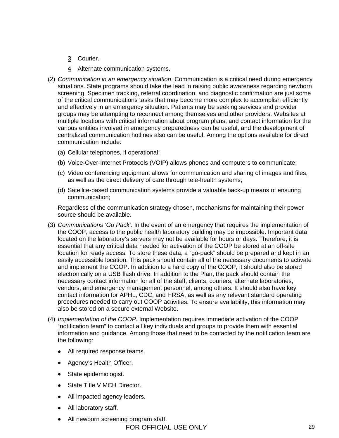- 3 Courier.
- 4 Alternate communication systems.
- (2) *Communication in an emergency situation*. Communication is a critical need during emergen cy situations. State programs should take the lead in raising public awareness regarding newborn screening. Specimen tracking, referral coordination, and diagnostic confirmation are just some of the critical communications tasks that may become more complex to accomplish efficiently various entities involved in emergency preparedness can be useful, and the development of and effectively in an emergency situation. Patients may be seeking services and provider groups may be attempting to reconnect among themselves and other providers. Websites at multiple locations with critical information about program plans, and contact information for the centralized communication hotlines also can be useful. Among the options available for direct communication include:
	- (a) Cellular telephones, if operational;
	- (b) Voice-Over-Internet Protocols (VOIP) allows phones and computers to communicate;
	- (c) Video conferencing equipment allows for communication and sharing of images and files, as well as the direct delivery of care through tele-health systems;
	- (d) Satellite-based communication systems provide a valuable back-up means of ensuring communication;

Regardless of the communication strategy chosen, mechanisms for maintaining their power source should be available.

- (3) Communications 'Go Pack'. In the event of an emergency that requires the implementation of the COOP, access to the public health laboratory building may be impossible. Important data located on the laboratory's servers may not be available for hours or days. Therefore, it is essential that any critical data needed for activation of the COOP be stored at an off-site location for ready access. To store these data, a "go-pack" should be prepared and kept in an easily accessible location. This pack should contain all of the necessary documents to activate and implement the COOP. In addition to a hard copy of the COOP, it should also be stored electronically on a USB flash drive. In addition to the Plan, the pack should contain the necessary contact information for all of the staff, clients, couriers, alternate laboratories, vendors, and emergency management personnel, among others. It should also have key contact information for APHL, CDC, and HRSA, as well as any relevant standard operating procedures needed to carry out COOP activities. To ensure availability, this information may also be stored on a secure external Website.
- information and guidance. Among those that need to be contacted by the notification team are the following: (4) *Implementation of the COOP.* Implementation requires immediate activation of the COOP "notification team" to contact all key individuals and groups to provide them with essential
	- All required response teams.
	- Agency's Health Officer.
	- State epidemiologist.
	- State Title V MCH Director.
	- All impacted agency leaders.
	- All laboratory staff.
	- All newborn screening program staff.

FOR OFFICIAL USE ONLY 29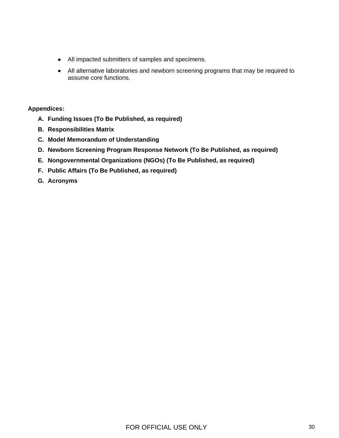- All impacted submitters of samples and specimens.
- All alternative laboratories and newborn screening programs that may be required to assume core functions.

## **Appendices:**

- **A. Funding Issues (To Be Published, as required)**
- **B. Responsibilities Matrix**
- **C. Model Memorandum of Understanding**
- **D. Newborn Screening Program Response Network (To Be Published, as required)**
- **E. Nongovernmental Organizations (NGOs) (To Be Published, as required)**
- **F. Public Affairs (To Be Published, as required)**
- **G. Acronyms**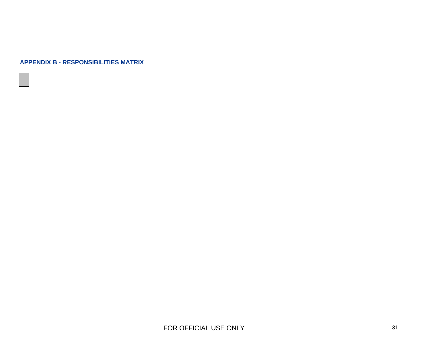#### **APPENDIX B - RESPONSIBILITIES MATRIX**



<span id="page-30-0"></span>FOR OFFICIAL USE ONLY 31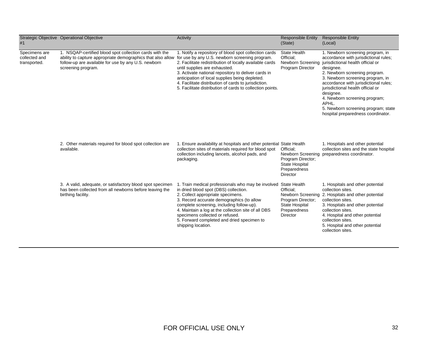| #1                                             | Strategic Objective Operational Objective                                                                                                                                                                                                          | Activity                                                                                                                                                                                                                                                                                                                                                                                              | <b>Responsible Entity</b><br>(State)                                                                     | <b>Responsible Entity</b><br>(Local)                                                                                                                                                                                                                                                                                                                                                                               |
|------------------------------------------------|----------------------------------------------------------------------------------------------------------------------------------------------------------------------------------------------------------------------------------------------------|-------------------------------------------------------------------------------------------------------------------------------------------------------------------------------------------------------------------------------------------------------------------------------------------------------------------------------------------------------------------------------------------------------|----------------------------------------------------------------------------------------------------------|--------------------------------------------------------------------------------------------------------------------------------------------------------------------------------------------------------------------------------------------------------------------------------------------------------------------------------------------------------------------------------------------------------------------|
| Specimens are<br>collected and<br>transported. | 1. NSQAP-certified blood spot collection cards with the<br>ability to capture appropriate demographics that also allow for use by any U.S. newborn screening program.<br>follow-up are available for use by any U.S. newborn<br>screening program. | 1. Notify a repository of blood spot collection cards<br>2. Facilitate redistribution of locally available cards<br>until supplies are exhausted.<br>3. Activate national repository to deliver cards in<br>anticipation of local supplies being depleted.<br>4. Facilitate distribution of cards to jurisdiction.<br>5. Facilitate distribution of cards to collection points.                       | State Health<br>Official:<br>Newborn Screening<br>Program Director                                       | 1. Newborn screening program, in<br>accordance with jurisdictional rules;<br>jurisdictional health official or<br>designee.<br>2. Newborn screening program.<br>3. Newborn screening program, in<br>accordance with jurisdictional rules;<br>jurisdictional health official or<br>designee.<br>4. Newborn screening program;<br>APHL.<br>5. Newborn screening program; state<br>hospital preparedness coordinator. |
|                                                | 2. Other materials required for blood spot collection are<br>available.                                                                                                                                                                            | 1. Ensure availability at hospitals and other potential State Health<br>collection sites of materials required for blood spot<br>collection including lancets, alcohol pads, and<br>packaging.                                                                                                                                                                                                        | Official:<br>Program Director;<br>State Hospital<br>Preparedness<br><b>Director</b>                      | 1. Hospitals and other potential<br>collection sites and the state hospital<br>Newborn Screening preparedness coordinator.                                                                                                                                                                                                                                                                                         |
|                                                | 3. A valid, adequate, or satisfactory blood spot specimen<br>has been collected from all newborns before leaving the<br>birthing facility.                                                                                                         | 1. Train medical professionals who may be involved State Health<br>in dried blood spot (DBS) collection.<br>2. Collect appropriate specimens.<br>3. Record accurate demographics (to allow<br>complete screening, including follow-up).<br>4. Maintain a log at the collection site of all DBS<br>specimens collected or refused.<br>5. Forward completed and dried specimen to<br>shipping location. | Official:<br>Newborn Screening<br>Program Director;<br>State Hospital<br>Preparedness<br><b>Director</b> | 1. Hospitals and other potential<br>collection sites.<br>2. Hospitals and other potential<br>collection sites.<br>3. Hospitals and other potential<br>collection sites.<br>4. Hospital and other potential<br>collection sites.<br>5. Hospital and other potential<br>collection sites.                                                                                                                            |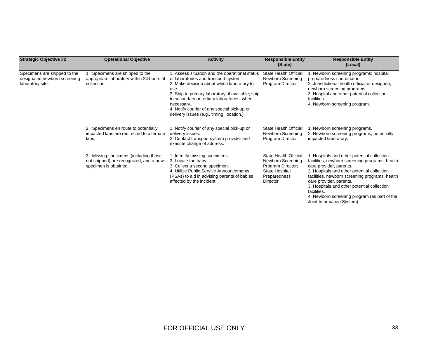| <b>Strategic Objective #2</b>                                                    | <b>Operational Objective</b>                                                                             | <b>Activity</b>                                                                                                                                                                                                                                                                                                                                             | <b>Responsible Entity</b><br>(State)                                                                           | <b>Responsible Entity</b><br>(Local)                                                                                                                                                                                                                                                                                                                                                             |
|----------------------------------------------------------------------------------|----------------------------------------------------------------------------------------------------------|-------------------------------------------------------------------------------------------------------------------------------------------------------------------------------------------------------------------------------------------------------------------------------------------------------------------------------------------------------------|----------------------------------------------------------------------------------------------------------------|--------------------------------------------------------------------------------------------------------------------------------------------------------------------------------------------------------------------------------------------------------------------------------------------------------------------------------------------------------------------------------------------------|
| Specimens are shipped to the<br>designated newborn screening<br>laboratory site. | 1. Specimens are shipped to the<br>appropriate laboratory within 24 hours of<br>collection.              | 1. Assess situation and the operational status<br>of laboratories and transport system.<br>2. Make decision about which laboratory to<br>use.<br>3. Ship to primary laboratory, if available; ship<br>to secondary or tertiary laboratories, when<br>necessary.<br>4. Notify courier of any special pick-up or<br>delivery issues (e.g., timing, location.) | State Health Official:<br>Newborn Screening<br>Program Director                                                | 1. Newborn screening programs; hospital<br>preparedness coordinator.<br>2. Jurisdictional health official or designee;<br>newborn screening programs.<br>3. Hospital and other potential collection<br>facilities.<br>4. Newborn screening program.                                                                                                                                              |
|                                                                                  | 2. Specimens en route to potentially<br>impacted labs are redirected to alternate<br>labs.               | 1. Notify courier of any special pick-up or<br>delivery issues.<br>2. Contact transport system provider and<br>execute change of address.                                                                                                                                                                                                                   | State Health Official:<br>Newborn Screening<br>Program Director                                                | 1. Newborn screening programs.<br>2. Newborn screening programs; potentially<br>impacted laboratory.                                                                                                                                                                                                                                                                                             |
|                                                                                  | 3. Missing specimens (including those<br>not shipped) are recognized, and a new<br>specimen is obtained. | 1. Identify missing specimens.<br>2. Locate the baby.<br>3. Collect a second specimen.<br>4. Utilize Public Service Announcements<br>(PSAs) to aid in advising parents of babies<br>affected by the incident.                                                                                                                                               | State Health Official;<br>Newborn Screening<br>Program Director;<br>State Hospital<br>Preparedness<br>Director | 1. Hospitals and other potential collection<br>facilities, newborn screening programs, health<br>care provider, parents.<br>2. Hospitals and other potential collection<br>facilities, newborn screening programs, health<br>care provider, parents.<br>3. Hospitals and other potential collection<br>facilities.<br>4. Newborn screening program (as part of the<br>Joint Information System). |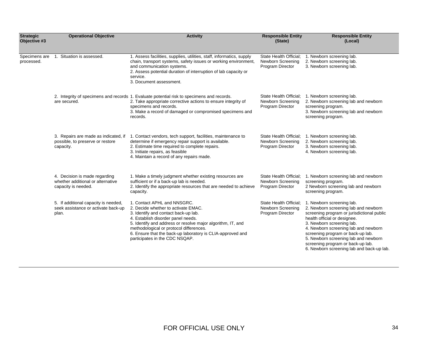| <b>Strategic</b><br>Objective #3 | <b>Operational Objective</b>                                                              | <b>Activity</b>                                                                                                                                                                                                                                                                                                                                            | <b>Responsible Entity</b><br>(State)                            | <b>Responsible Entity</b><br>(Local)                                                                                                                                                                                                                                                                                                                                                |
|----------------------------------|-------------------------------------------------------------------------------------------|------------------------------------------------------------------------------------------------------------------------------------------------------------------------------------------------------------------------------------------------------------------------------------------------------------------------------------------------------------|-----------------------------------------------------------------|-------------------------------------------------------------------------------------------------------------------------------------------------------------------------------------------------------------------------------------------------------------------------------------------------------------------------------------------------------------------------------------|
| Specimens are<br>processed.      | 1. Situation is assessed.                                                                 | 1. Assess facilities, supplies, utilities, staff, informatics, supply<br>chain, transport systems, safety issues or working environment,<br>and communication systems.<br>2. Assess potential duration of interruption of lab capacity or<br>service.<br>3. Document assessment.                                                                           | State Health Official;<br>Newborn Screening<br>Program Director | 1. Newborn screening lab.<br>2. Newborn screening lab.<br>3. Newborn screening lab.                                                                                                                                                                                                                                                                                                 |
|                                  | are secured.                                                                              | 2. Integrity of specimens and records 1. Evaluate potential risk to specimens and records.<br>2. Take appropriate corrective actions to ensure integrity of<br>specimens and records.<br>3. Make a record of damaged or compromised specimens and<br>records.                                                                                              | State Health Official:<br>Newborn Screening<br>Program Director | 1. Newborn screening lab.<br>2. Newborn screening lab and newborn<br>screening program.<br>3. Newborn screening lab and newborn<br>screening program.                                                                                                                                                                                                                               |
|                                  | 3. Repairs are made as indicated, if<br>possible, to preserve or restore<br>capacity.     | 1. Contact vendors, tech support, facilities, maintenance to<br>determine if emergency repair support is available.<br>2. Estimate time required to complete repairs.<br>3. Initiate repairs, as feasible<br>4. Maintain a record of any repairs made.                                                                                                     | State Health Official:<br>Newborn Screening<br>Program Director | 1. Newborn screening lab.<br>2. Newborn screening lab.<br>3. Newborn screening lab.<br>4. Newborn screening lab.                                                                                                                                                                                                                                                                    |
|                                  | 4. Decision is made regarding<br>whether additional or alternative<br>capacity is needed. | 1. Make a timely judgment whether existing resources are<br>sufficient or if a back-up lab is needed.<br>2. Identify the appropriate resources that are needed to achieve<br>capacity.                                                                                                                                                                     | State Health Official;<br>Newborn Screening<br>Program Director | 1. Newborn screening lab and newborn<br>screening program.<br>2 Newborn screening lab and newborn<br>screening program.                                                                                                                                                                                                                                                             |
|                                  | 5. If additional capacity is needed,<br>seek assistance or activate back-up<br>plan.      | 1. Contact APHL and NNSGRC.<br>2. Decide whether to activate EMAC.<br>3. Identify and contact back-up lab.<br>4. Establish disorder panel needs.<br>5. Identify and address or resolve major algorithm, IT, and<br>methodological or protocol differences.<br>6. Ensure that the back-up laboratory is CLIA-approved and<br>participates in the CDC NSQAP. | State Health Official;<br>Newborn Screening<br>Program Director | 1. Newborn screening lab.<br>2. Newborn screening lab and newborn<br>screening program or jurisdictional public<br>health official or designee.<br>3. Newborn screening lab.<br>4. Newborn screening lab and newborn<br>screening program or back-up lab.<br>5. Newborn screening lab and newborn<br>screening program or back-up lab.<br>6. Newborn screening lab and back-up lab. |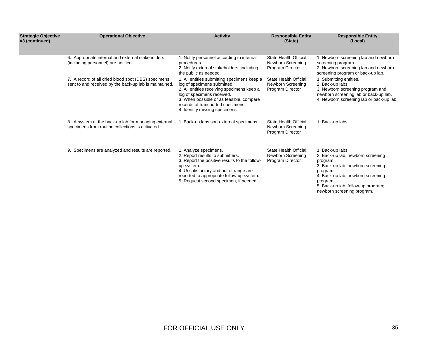| <b>Strategic Objective</b><br>#3 (continued) | <b>Operational Objective</b>                                                                                  | <b>Activity</b>                                                                                                                                                                                                                                                           | <b>Responsible Entity</b><br>(State)                            | <b>Responsible Entity</b><br>(Local)                                                                                                                                                                                                    |
|----------------------------------------------|---------------------------------------------------------------------------------------------------------------|---------------------------------------------------------------------------------------------------------------------------------------------------------------------------------------------------------------------------------------------------------------------------|-----------------------------------------------------------------|-----------------------------------------------------------------------------------------------------------------------------------------------------------------------------------------------------------------------------------------|
|                                              | 6. Appropriate internal and external stakeholders<br>(including personnel) are notified.                      | 1. Notify personnel according to internal<br>procedures.<br>2. Notify external stakeholders, including<br>the public as needed.                                                                                                                                           | State Health Official;<br>Newborn Screening<br>Program Director | 1. Newborn screening lab and newborn<br>screening program.<br>2. Newborn screening lab and newborn<br>screening program or back-up lab.                                                                                                 |
|                                              | 7. A record of all dried blood spot (DBS) specimens<br>sent to and received by the back-up lab is maintained. | 1. All entities submitting specimens keep a<br>log of specimens submitted.<br>2. All entities receiving specimens keep a<br>log of specimens received.<br>3. When possible or as feasible, compare<br>records of transported specimens.<br>4. Identify missing specimens. | State Health Official;<br>Newborn Screening<br>Program Director | 1. Submitting entities.<br>2. Back-up labs.<br>3. Newborn screening program and<br>newborn screening lab or back-up lab.<br>4. Newborn screening lab or back-up lab.                                                                    |
|                                              | 8. A system at the back-up lab for managing external<br>specimens from routine collections is activated.      | 1. Back-up labs sort external specimens.                                                                                                                                                                                                                                  | State Health Official;<br>Newborn Screening<br>Program Director | 1. Back-up labs.                                                                                                                                                                                                                        |
|                                              | 9. Specimens are analyzed and results are reported.                                                           | 1. Analyze specimens.<br>2. Report results to submitters.<br>3. Report the positive results to the follow-<br>up system.<br>4. Unsatisfactory and out of range are<br>reported to appropriate follow-up system.<br>5. Request second specimen, if needed.                 | State Health Official;<br>Newborn Screening<br>Program Director | 1. Back-up labs.<br>2. Back-up lab; newborn screening<br>program.<br>3. Back-up lab; newborn screening<br>program.<br>4. Back-up lab; newborn screening<br>program.<br>5. Back-up lab; follow-up program;<br>newborn screening program. |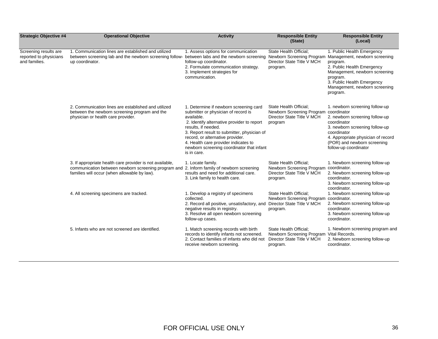| <b>Strategic Objective #4</b>                                    | <b>Operational Objective</b>                                                                                                                                                                          | <b>Activity</b>                                                                                                                                                                                                                                                                                                                                         | <b>Responsible Entity</b><br>(State)                                                                         | <b>Responsible Entity</b><br>(Local)                                                                                                                                                                                           |
|------------------------------------------------------------------|-------------------------------------------------------------------------------------------------------------------------------------------------------------------------------------------------------|---------------------------------------------------------------------------------------------------------------------------------------------------------------------------------------------------------------------------------------------------------------------------------------------------------------------------------------------------------|--------------------------------------------------------------------------------------------------------------|--------------------------------------------------------------------------------------------------------------------------------------------------------------------------------------------------------------------------------|
| Screening results are<br>reported to physicians<br>and families. | 1. Communication lines are established and utilized<br>between screening lab and the newborn screening follow-<br>up coordinator.                                                                     | 1. Assess options for communication<br>between labs and the newborn screening<br>follow-up coordinator.<br>2. Formulate communication strategy.<br>3. Implement strategies for<br>communication.                                                                                                                                                        | State Health Official;<br>Newborn Screening Program<br>Director State Title V MCH<br>program.                | 1. Public Health Emergency<br>Management, newborn screening<br>program.<br>2. Public Health Emergency<br>Management, newborn screening<br>program.<br>3. Public Health Emergency<br>Management, newborn screening<br>program.  |
|                                                                  | 2. Communication lines are established and utilized<br>between the newborn screening program and the<br>physician or health care provider.                                                            | 1. Determine if newborn screening card<br>submitter or physician of record is<br>available.<br>2. Identify alternative provider to report<br>results, if needed.<br>3. Report result to submitter, physician of<br>record, or alternative provider.<br>4. Health care provider indicates to<br>newborn screening coordinator that infant<br>is in care. | State Health Official;<br>Newborn Screening Program coordinator<br>Director State Title V MCH<br>program     | 1. newborn screening follow-up<br>2. newborn screening follow-up<br>coordinator<br>3. newborn screening follow-up<br>coordinator<br>4. Appropriate physician of record<br>(POR) and newborn screening<br>follow-up coordinator |
|                                                                  | 3. If appropriate health care provider is not available,<br>communication between newborn screening program and 2. Inform family of newborn screening<br>families will occur (when allowable by law). | 1. Locate family.<br>results and need for additional care.<br>3. Link family to health care.                                                                                                                                                                                                                                                            | State Health Official;<br>Newborn Screening Program coordinator.<br>Director State Title V MCH<br>program.   | 1. Newborn screening follow-up<br>2. Newborn screening follow-up<br>coordinator.<br>3. Newborn screening follow-up<br>coordinator.                                                                                             |
|                                                                  | 4. All screening specimens are tracked.                                                                                                                                                               | 1. Develop a registry of specimens<br>collected.<br>2. Record all positive, unsatisfactory, and Director State Title V MCH<br>negative results in registry.<br>3. Resolve all open newborn screening<br>follow-up cases.                                                                                                                                | State Health Official;<br>Newborn Screening Program<br>program.                                              | 1. Newborn screening follow-up<br>coordinator.<br>2. Newborn screening follow-up<br>coordinator.<br>3. Newborn screening follow-up<br>coordinator.                                                                             |
|                                                                  | 5. Infants who are not screened are identified.                                                                                                                                                       | 1. Match screening records with birth<br>records to identify infants not screened.<br>2. Contact families of infants who did not<br>receive newborn screening.                                                                                                                                                                                          | State Health Official:<br>Newborn Screening Program Vital Records.<br>Director State Title V MCH<br>program. | 1. Newborn screening program and<br>2. Newborn screening follow-up<br>coordinator.                                                                                                                                             |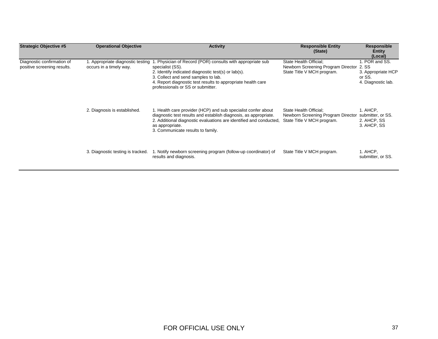| <b>Strategic Objective #5</b>                             | <b>Operational Objective</b>                                 | <b>Activity</b>                                                                                                                                                                                                                                                                   | <b>Responsible Entity</b><br>(State)                                                       | <b>Responsible</b><br>Entity<br>(Local)                                       |
|-----------------------------------------------------------|--------------------------------------------------------------|-----------------------------------------------------------------------------------------------------------------------------------------------------------------------------------------------------------------------------------------------------------------------------------|--------------------------------------------------------------------------------------------|-------------------------------------------------------------------------------|
| Diagnostic confirmation of<br>positive screening results. | 1. Appropriate diagnostic testing<br>occurs in a timely way. | 1. Physician of Record (POR) consults with appropriate sub<br>specialist (SS).<br>2. Identify indicated diagnostic test(s) or lab(s).<br>3. Collect and send samples to lab.<br>4. Report diagnostic test results to appropriate health care<br>professionals or SS or submitter. | State Health Official;<br>Newborn Screening Program Director<br>State Title V MCH program. | 1. POR and SS.<br>2. SS<br>3. Appropriate HCP<br>or SS.<br>4. Diagnostic lab. |
|                                                           | 2. Diagnosis is established.                                 | 1. Health care provider (HCP) and sub specialist confer about<br>diagnostic test results and establish diagnosis, as appropriate.<br>2. Additional diagnostic evaluations are identified and conducted,<br>as appropriate.<br>3. Communicate results to family.                   | State Health Official;<br>Newborn Screening Program Director<br>State Title V MCH program. | 1. AHCP,<br>submitter, or SS.<br>2. AHCP, SS<br>3. AHCP, SS                   |
|                                                           | 3. Diagnostic testing is tracked.                            | 1. Notify newborn screening program (follow-up coordinator) of<br>results and diagnosis.                                                                                                                                                                                          | State Title V MCH program.                                                                 | 1. AHCP,<br>submitter, or SS.                                                 |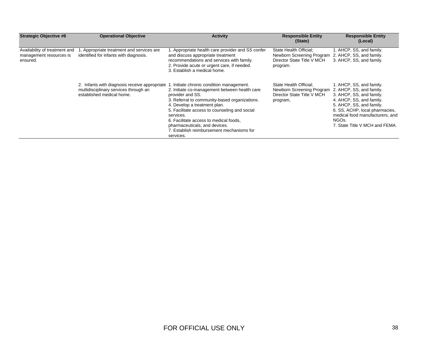| <b>Strategic Objective #6</b>                                        | <b>Operational Objective</b>                                                                                        | <b>Activity</b>                                                                                                                                                                                                                                                                                                                                                                                    | <b>Responsible Entity</b><br>(State)                                                          | <b>Responsible Entity</b><br>(Local)                                                                                                                                                                                                                                |
|----------------------------------------------------------------------|---------------------------------------------------------------------------------------------------------------------|----------------------------------------------------------------------------------------------------------------------------------------------------------------------------------------------------------------------------------------------------------------------------------------------------------------------------------------------------------------------------------------------------|-----------------------------------------------------------------------------------------------|---------------------------------------------------------------------------------------------------------------------------------------------------------------------------------------------------------------------------------------------------------------------|
| Availability of treatment and<br>management resources is<br>ensured. | . Appropriate treatment and services are<br>identified for infants with diagnosis.                                  | 1. Appropriate health care provider and SS confer<br>and discuss appropriate treatment<br>recommendations and services with family.<br>2. Provide acute or urgent care, if needed.<br>3. Establish a medical home.                                                                                                                                                                                 | State Health Official:<br>Newborn Screening Program<br>Director State Title V MCH<br>program. | 1. AHCP, SS, and family.<br>2. AHCP, SS, and family.<br>3. AHCP, SS, and family.                                                                                                                                                                                    |
|                                                                      | 2. Infants with diagnosis receive appropriate<br>multidisciplinary services through an<br>established medical home. | 1. Initiate chronic condition management.<br>2. Initiate co-management between health care<br>provider and SS.<br>3. Referral to community-based organizations.<br>4. Develop a treatment plan.<br>5. Facilitate access to counseling and social<br>services.<br>6. Facilitate access to medical foods,<br>pharmaceuticals, and devices.<br>7. Establish reimbursement mechanisms for<br>services. | State Health Official:<br>Newborn Screening Program<br>Director State Title V MCH<br>program, | 1. AHCP, SS, and family.<br>2. AHCP, SS, and family.<br>3. AHCP, SS, and family.<br>4. AHCP, SS, and family.<br>5. AHCP, SS, and family.<br>6. SS, ACHP, local pharmacies,<br>medical food manufacturers, and<br>NGO <sub>s</sub><br>7. State Title V MCH and FEMA. |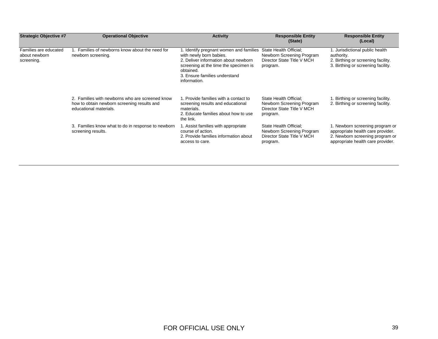| <b>Strategic Objective #7</b>                        | <b>Operational Objective</b>                                                                                             | <b>Activity</b>                                                                                                                                                                                                   | <b>Responsible Entity</b><br>(State)                                                          | <b>Responsible Entity</b><br>(Local)                                                                                                         |
|------------------------------------------------------|--------------------------------------------------------------------------------------------------------------------------|-------------------------------------------------------------------------------------------------------------------------------------------------------------------------------------------------------------------|-----------------------------------------------------------------------------------------------|----------------------------------------------------------------------------------------------------------------------------------------------|
| Families are educated<br>about newborn<br>screening. | 1. Families of newborns know about the need for<br>newborn screening.                                                    | 1. Identify pregnant women and families<br>with newly born babies.<br>2. Deliver information about newborn<br>screening at the time the specimen is<br>obtained.<br>3. Ensure families understand<br>information. | State Health Official:<br>Newborn Screening Program<br>Director State Title V MCH<br>program. | 1. Jurisdictional public health<br>authority.<br>2. Birthing or screening facility.<br>3. Birthing or screening facility.                    |
|                                                      | 2. Families with newborns who are screened know<br>how to obtain newborn screening results and<br>educational materials. | 1. Provide families with a contact to<br>screening results and educational<br>materials.<br>2. Educate families about how to use<br>the link.                                                                     | State Health Official:<br>Newborn Screening Program<br>Director State Title V MCH<br>program. | . Birthing or screening facility.<br>2. Birthing or screening facility.                                                                      |
|                                                      | 3. Families know what to do in response to newborn<br>screening results.                                                 | 1. Assist families with appropriate<br>course of action.<br>2. Provide families information about<br>access to care.                                                                                              | State Health Official:<br>Newborn Screening Program<br>Director State Title V MCH<br>program. | 1. Newborn screening program or<br>appropriate health care provider.<br>2. Newborn screening program or<br>appropriate health care provider. |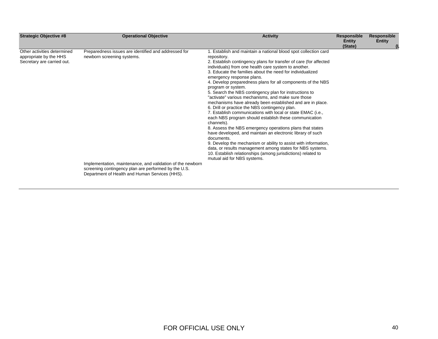| <b>Strategic Objective #8</b>                                                       | <b>Operational Objective</b>                                                                                                                                                                                                                               | <b>Activity</b>                                                                                                                                                                                                                                                                                                                                                                                                                                                                                                                                                                                                                                                                                                                                                                                                                                                                                                                                                                                                                                                                                                                         | <b>Responsible</b><br>Entity<br>(State) | Responsible<br><b>Entity</b> |
|-------------------------------------------------------------------------------------|------------------------------------------------------------------------------------------------------------------------------------------------------------------------------------------------------------------------------------------------------------|-----------------------------------------------------------------------------------------------------------------------------------------------------------------------------------------------------------------------------------------------------------------------------------------------------------------------------------------------------------------------------------------------------------------------------------------------------------------------------------------------------------------------------------------------------------------------------------------------------------------------------------------------------------------------------------------------------------------------------------------------------------------------------------------------------------------------------------------------------------------------------------------------------------------------------------------------------------------------------------------------------------------------------------------------------------------------------------------------------------------------------------------|-----------------------------------------|------------------------------|
| Other activities determined<br>appropriate by the HHS<br>Secretary are carried out. | Preparedness issues are identified and addressed for<br>newborn screening systems.<br>Implementation, maintenance, and validation of the newborn<br>screening contingency plan are performed by the U.S.<br>Department of Health and Human Services (HHS). | 1. Establish and maintain a national blood spot collection card<br>repository.<br>2. Establish contingency plans for transfer of care (for affected<br>individuals) from one health care system to another.<br>3. Educate the families about the need for individualized<br>emergency response plans.<br>4. Develop preparedness plans for all components of the NBS<br>program or system.<br>5. Search the NBS contingency plan for instructions to<br>"activate" various mechanisms, and make sure those<br>mechanisms have already been established and are in place.<br>6. Drill or practice the NBS contingency plan.<br>7. Establish communications with local or state EMAC (i.e.,<br>each NBS program should establish these communication<br>channels).<br>8. Assess the NBS emergency operations plans that states<br>have developed, and maintain an electronic library of such<br>documents.<br>9. Develop the mechanism or ability to assist with information,<br>data, or results management among states for NBS systems.<br>10. Establish relationships (among jurisdictions) related to<br>mutual aid for NBS systems. |                                         |                              |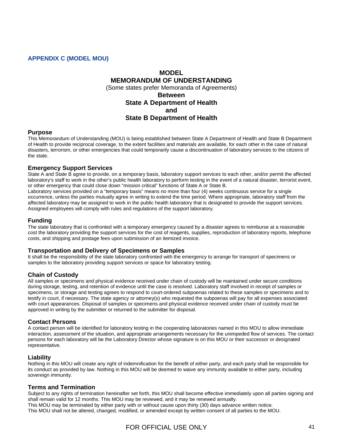#### <span id="page-40-0"></span>**APPENDIX C (MODEL MOU)**

## **MODEL MEMORANDUM OF UNDERSTANDING**  (Some states prefer Memoranda of Agreements) **Between State A Department of Health and State B Department of Health**

#### **Purpose**

This Memorandum of Understanding (MOU) is being established between State A Department of Health and State B Department of Health to provide reciprocal coverage, to the extent facilities and materials are available, for each other in the case of natural disasters, terrorism, or other emergencies that could temporarily cause a discontinuation of laboratory services to the citizens of the state.

#### **Emergency Support Services**

State A and State B agree to provide, on a temporary basis, laboratory support services to each other, and/or permit the affected laboratory's staff to work in the other's public health laboratory to perform testing in the event of a natural disaster, terrorist event, or other emergency that could close down "mission critical" functions of State A or State B.

Laboratory services provided on a "temporary basis" means no more than four (4) weeks continuous service for a single occurrence, unless the parties mutually agree in writing to extend the time period. Where appropriate, laboratory staff from the affected laboratory may be assigned to work in the public health laboratory that is designated to provide the support services. Assigned employees will comply with rules and regulations of the support laboratory.

#### **Funding**

The state laboratory that is confronted with a temporary emergency caused by a disaster agrees to reimburse at a reasonable cost the laboratory providing the support services for the cost of reagents, supplies, reproduction of laboratory reports, telephone costs, and shipping and postage fees upon submission of an itemized invoice.

#### **Transportation and Delivery of Specimens or Samples**

It shall be the responsibility of the state laboratory confronted with the emergency to arrange for transport of specimens or samples to the laboratory providing support services or space for laboratory testing.

#### **Chain of Custody**

All samples or specimens and physical evidence received under chain of custody will be maintained under secure conditions during storage, testing, and retention of evidence until the case is resolved. Laboratory staff involved in receipt of samples or specimens, or storage and testing agrees to respond to court-ordered subpoenas related to these samples or specimens and to testify in court, if necessary. The state agency or attorney(s) who requested the subpoenas will pay for all expenses associated with court appearances. Disposal of samples or specimens and physical evidence received under chain of custody must be approved in writing by the submitter or returned to the submitter for disposal.

#### **Contact Persons**

A contact person will be identified for laboratory testing in the cooperating laboratories named in this MOU to allow immediate interaction, assessment of the situation, and appropriate arrangements necessary for the unimpeded flow of services. The contact persons for each laboratory will be the Laboratory Director whose signature is on this MOU or their successor or designated representative.

#### **Liability**

Nothing in this MOU will create any right of indemnification for the benefit of either party, and each party shall be responsible for its conduct as provided by law. Nothing in this MOU will be deemed to waive any immunity available to either party, including sovereign immunity.

#### **Terms and Termination**

Subject to any rights of termination hereinafter set forth, this MOU shall become effective immediately upon all parties signing and shall remain valid for 12 months. This MOU may be reviewed, and it may be renewed annually.

This MOU may be terminated by either party with or without cause upon thirty (30) days advance written notice. This MOU shall not be altered, changed, modified, or amended except by written consent of all parties to the MOU.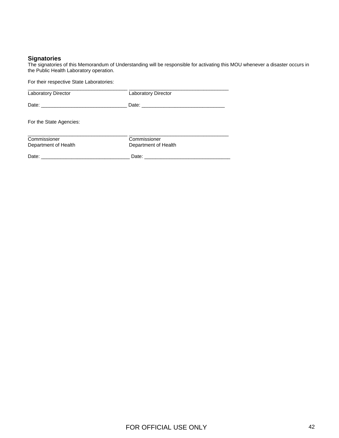#### **Signatories**

The signatories of this Memorandum of Understanding will be responsible for activating this MOU whenever a disaster occurs in the Public Health Laboratory operation.

| For their respective State Laboratories:                                                                                                                                                                                       |                                                                                                                                                                                                                                |
|--------------------------------------------------------------------------------------------------------------------------------------------------------------------------------------------------------------------------------|--------------------------------------------------------------------------------------------------------------------------------------------------------------------------------------------------------------------------------|
| Laboratory Director                                                                                                                                                                                                            | <b>Laboratory Director</b>                                                                                                                                                                                                     |
|                                                                                                                                                                                                                                |                                                                                                                                                                                                                                |
| For the State Agencies:                                                                                                                                                                                                        |                                                                                                                                                                                                                                |
| Commissioner<br>Department of Health                                                                                                                                                                                           | Commissioner<br>Department of Health                                                                                                                                                                                           |
| Date: the contract of the contract of the contract of the contract of the contract of the contract of the contract of the contract of the contract of the contract of the contract of the contract of the contract of the cont | Date: the contract of the contract of the contract of the contract of the contract of the contract of the contract of the contract of the contract of the contract of the contract of the contract of the contract of the cont |